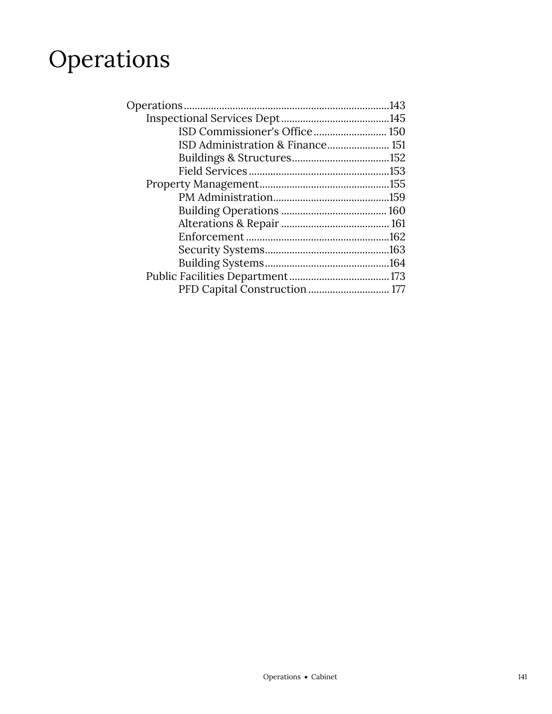## Operations

| ISD Commissioner's Office 150 |  |
|-------------------------------|--|
|                               |  |
|                               |  |
|                               |  |
|                               |  |
|                               |  |
|                               |  |
|                               |  |
|                               |  |
|                               |  |
|                               |  |
|                               |  |
| PFD Capital Construction  177 |  |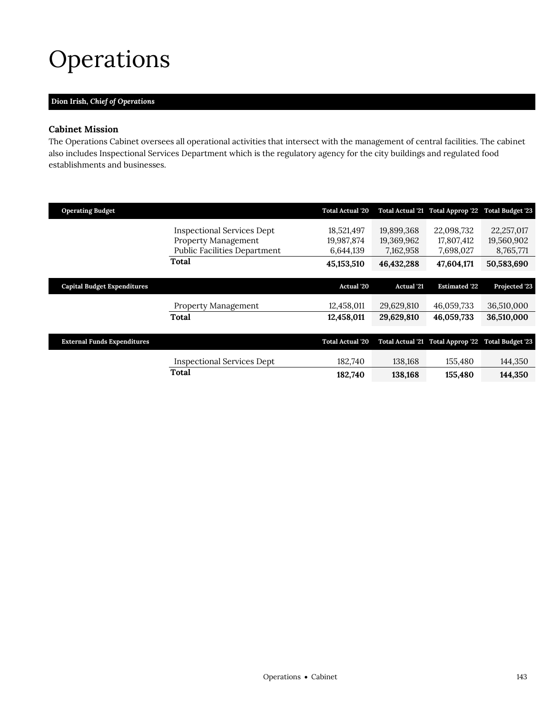# <span id="page-2-0"></span>Operations

## **Dion Irish,** *Chief of Operations*

## **Cabinet Mission**

The Operations Cabinet oversees all operational activities that intersect with the management of central facilities. The cabinet also includes Inspectional Services Department which is the regulatory agency for the city buildings and regulated food establishments and businesses.

|                                                                                          | <b>Total Actual '20</b>               |                                       |                                       |                                                    |
|------------------------------------------------------------------------------------------|---------------------------------------|---------------------------------------|---------------------------------------|----------------------------------------------------|
| Inspectional Services Dept<br>Property Management<br><b>Public Facilities Department</b> | 18,521,497<br>19,987,874<br>6,644,139 | 19,899,368<br>19,369,962<br>7.162.958 | 22,098,732<br>17,807,412<br>7,698,027 | 22,257,017<br>19,560,902<br>8,765,771              |
| Total                                                                                    | 45, 153, 510                          | 46,432,288                            | 47,604,171                            | 50,583,690                                         |
|                                                                                          | <b>Actual</b> '20                     | <b>Actual</b> '21                     | <b>Estimated '22</b>                  | Projected '23                                      |
| <b>Property Management</b>                                                               | 12,458,011                            | 29,629,810                            | 46,059,733                            | 36,510,000                                         |
| Total                                                                                    | 12,458,011                            | 29,629,810                            | 46,059,733                            | 36,510,000                                         |
|                                                                                          | <b>Total Actual '20</b>               | <b>Total Actual '21</b>               | Total Approp '22 Total Budget '23     |                                                    |
| <b>Inspectional Services Dept</b>                                                        | 182,740                               | 138,168                               | 155,480                               | 144,350                                            |
| Total                                                                                    | 182,740                               | 138,168                               | 155,480                               | 144,350                                            |
|                                                                                          |                                       |                                       |                                       | Total Actual '21 Total Approp '22 Total Budget '23 |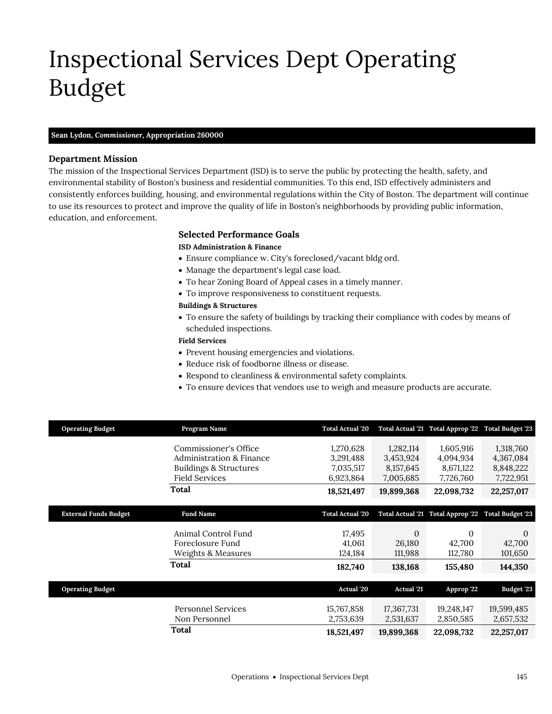# <span id="page-4-0"></span>Inspectional Services Dept Operating Budget

#### **Sean Lydon,** *Commissioner,* **Appropriation 260000**

## **Department Mission**

The mission of the Inspectional Services Department (ISD) is to serve the public by protecting the health, safety, and environmental stability of Boston's business and residential communities. To this end, ISD effectively administers and consistently enforces building, housing, and environmental regulations within the City of Boston. The department will continue to use its resources to protect and improve the quality of life in Boston's neighborhoods by providing public information, education, and enforcement.

## **Selected Performance Goals**

### **ISD Administration & Finance**

- Ensure compliance w. City's foreclosed/vacant bldg ord.
- Manage the department's legal case load.
- To hear Zoning Board of Appeal cases in a timely manner.
- To improve responsiveness to constituent requests.

### **Buildings & Structures**

 To ensure the safety of buildings by tracking their compliance with codes by means of scheduled inspections.

## **Field Services**

- Prevent housing emergencies and violations.
- Reduce risk of foodborne illness or disease.
- Respond to cleanliness & environmental safety complaints.
- To ensure devices that vendors use to weigh and measure products are accurate.

| <b>Operating Budget</b>      | Program Name                        | <b>Total Actual '20</b> |                   | Total Actual '21 Total Approp '22 Total Budget '23 |                         |
|------------------------------|-------------------------------------|-------------------------|-------------------|----------------------------------------------------|-------------------------|
|                              | Commissioner's Office               | 1,270,628               | 1,282,114         | 1,605,916                                          | 1,318,760               |
|                              | <b>Administration &amp; Finance</b> | 3,291,488               | 3,453,924         | 4,094,934                                          | 4,367,084               |
|                              | <b>Buildings &amp; Structures</b>   | 7,035,517               | 8, 157, 645       | 8,671,122                                          | 8,848,222               |
|                              | <b>Field Services</b>               | 6,923,864               | 7,005,685         | 7,726,760                                          | 7,722,951               |
|                              |                                     |                         |                   |                                                    |                         |
|                              | <b>Total</b>                        | 18,521,497              | 19,899,368        | 22,098,732                                         | 22,257,017              |
|                              |                                     |                         |                   |                                                    |                         |
| <b>External Funds Budget</b> | <b>Fund Name</b>                    | <b>Total Actual '20</b> |                   | Total Actual '21 Total Approp '22                  | <b>Total Budget '23</b> |
|                              |                                     |                         |                   |                                                    |                         |
|                              | Animal Control Fund                 | 17,495                  | $\theta$          | $\Omega$                                           | $\Omega$                |
|                              | Foreclosure Fund                    | 41,061                  | 26,180            | 42,700                                             | 42,700                  |
|                              | Weights & Measures                  | 124,184                 | 111,988           | 112,780                                            | 101,650                 |
|                              | <b>Total</b>                        | 182,740                 | 138,168           | 155,480                                            | 144,350                 |
|                              |                                     |                         |                   |                                                    |                         |
| <b>Operating Budget</b>      |                                     | Actual '20              | <b>Actual</b> '21 | Approp '22                                         | <b>Budget '23</b>       |
|                              | <b>Personnel Services</b>           | 15,767,858              | 17,367,731        | 19,248,147                                         | 19,599,485              |
|                              | Non Personnel                       | 2,753,639               | 2,531,637         | 2,850,585                                          | 2,657,532               |
|                              | Total                               | 18,521,497              | 19,899,368        | 22,098,732                                         | 22,257,017              |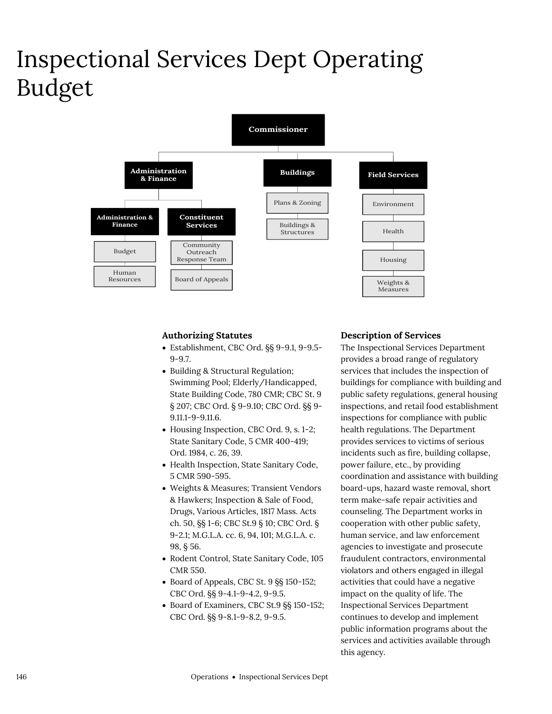## Inspectional Services Dept Operating Budget



## **Authorizing Statutes**

- Establishment, CBC Ord. §§ 9-9.1, 9-9.5- 9-9.7.
- Building & Structural Regulation; Swimming Pool; Elderly/Handicapped, State Building Code, 780 CMR; CBC St. 9 § 207; CBC Ord. § 9-9.10; CBC Ord. §§ 9- 9.11.1-9-9.11.6.
- Housing Inspection, CBC Ord. 9, s. 1-2; State Sanitary Code, 5 CMR 400-419; Ord. 1984, c. 26, 39.
- Health Inspection, State Sanitary Code, 5 CMR 590-595.
- Weights & Measures; Transient Vendors & Hawkers; Inspection & Sale of Food, Drugs, Various Articles, 1817 Mass. Acts ch. 50, §§ 1-6; CBC St.9 § 10; CBC Ord. § 9-2.1; M.G.L.A. cc. 6, 94, 101; M.G.L.A. c. 98, § 56.
- Rodent Control, State Sanitary Code, 105 CMR 550.
- Board of Appeals, CBC St. 9 §§ 150-152; CBC Ord. §§ 9-4.1-9-4.2, 9-9.5.
- Board of Examiners, CBC St.9 §§ 150-152; CBC Ord. §§ 9-8.1-9-8.2, 9-9.5.

## **Description of Services**

The Inspectional Services Department provides a broad range of regulatory services that includes the inspection of buildings for compliance with building and public safety regulations, general housing inspections, and retail food establishment inspections for compliance with public health regulations. The Department provides services to victims of serious incidents such as fire, building collapse, power failure, etc., by providing coordination and assistance with building board-ups, hazard waste removal, short term make-safe repair activities and counseling. The Department works in cooperation with other public safety, human service, and law enforcement agencies to investigate and prosecute fraudulent contractors, environmental violators and others engaged in illegal activities that could have a negative impact on the quality of life. The Inspectional Services Department continues to develop and implement public information programs about the services and activities available through this agency.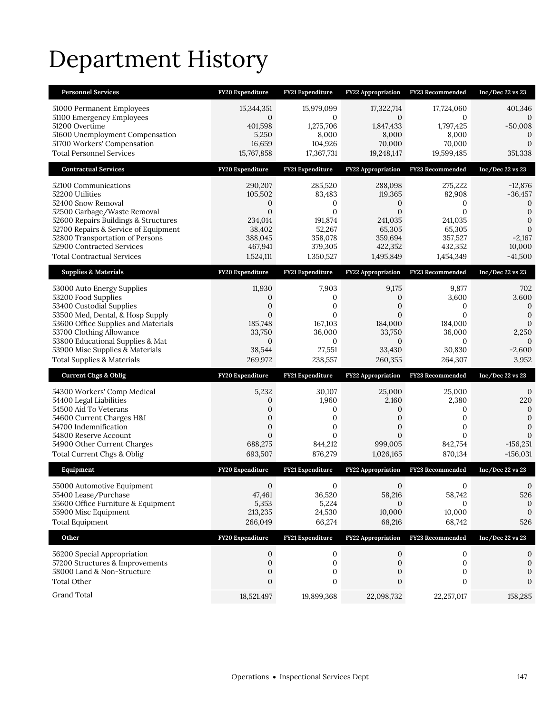# Department History

| <b>Personnel Services</b>             | FY20 Expenditure | FY21 Expenditure | <b>FY22 Appropriation</b> | FY23 Recommended | Inc/Dec $22$ vs $23$ |
|---------------------------------------|------------------|------------------|---------------------------|------------------|----------------------|
| 51000 Permanent Employees             | 15,344,351       | 15,979,099       | 17,322,714                | 17,724,060       | 401,346              |
| 51100 Emergency Employees             | $\mathbf{0}$     | $\mathbf{0}$     | $\mathbf{0}$              | $\mathbf{0}$     | $\theta$             |
| 51200 Overtime                        | 401,598          | 1,275,706        | 1,847,433                 | 1,797,425        | $-50,008$            |
| 51600 Unemployment Compensation       | 5,250            | 8,000            | 8,000                     | 8,000            | $\Omega$             |
| 51700 Workers' Compensation           | 16,659           | 104,926          | 70,000                    | 70,000           | $\mathbf{0}$         |
| <b>Total Personnel Services</b>       | 15,767,858       | 17,367,731       | 19,248,147                | 19,599,485       | 351,338              |
| <b>Contractual Services</b>           | FY20 Expenditure | FY21 Expenditure | <b>FY22 Appropriation</b> | FY23 Recommended | $Inc/Dec$ 22 vs 23   |
| 52100 Communications                  | 290,207          | 285,520          | 288,098                   | 275,222          | $-12,876$            |
| 52200 Utilities                       | 105,502          | 83,483           | 119,365                   | 82,908           | $-36,457$            |
| 52400 Snow Removal                    | $\mathbf{0}$     | $\mathbf{0}$     | $\mathbf{0}$              | 0                | $\mathbf 0$          |
| 52500 Garbage/Waste Removal           | $\mathbf{0}$     | $\mathbf{0}$     | $\mathbf{0}$              | $\mathbf{0}$     | $\mathbf{0}$         |
| 52600 Repairs Buildings & Structures  | 234,014          | 191,874          | 241,035                   | 241,035          | $\mathbf{0}$         |
| 52700 Repairs & Service of Equipment  | 38,402           | 52,267           | 65,305                    | 65,305           | $\mathbf{0}$         |
| 52800 Transportation of Persons       | 388,045          | 358,078          | 359,694                   | 357,527          | $-2,167$             |
| 52900 Contracted Services             | 467,941          | 379,305          | 422,352                   | 432,352          | 10,000               |
| <b>Total Contractual Services</b>     | 1,524,111        | 1,350,527        | 1,495,849                 | 1,454,349        | $-41,500$            |
| <b>Supplies &amp; Materials</b>       | FY20 Expenditure | FY21 Expenditure | <b>FY22 Appropriation</b> | FY23 Recommended | $Inc/Dec$ 22 vs 23   |
| 53000 Auto Energy Supplies            | 11,930           | 7,903            | 9,175                     | 9,877            | 702                  |
| 53200 Food Supplies                   | $\mathbf{0}$     | $\mathbf 0$      | $\mathbf{0}$              | 3,600            | 3,600                |
| 53400 Custodial Supplies              | $\boldsymbol{0}$ | $\boldsymbol{0}$ | $\mathbf{0}$              | 0                | $\mathbf 0$          |
| 53500 Med, Dental, & Hosp Supply      | $\mathbf{0}$     | $\mathbf{0}$     | $\mathbf{0}$              | $\Omega$         | $\mathbf 0$          |
| 53600 Office Supplies and Materials   | 185,748          | 167,103          | 184,000                   | 184,000          | $\mathbf{0}$         |
| 53700 Clothing Allowance              | 33,750           | 36,000           | 33,750                    | 36,000           | 2,250                |
| 53800 Educational Supplies & Mat      | $\mathbf{0}$     | $\mathbf{0}$     | $\mathbf{0}$              | $\mathbf{0}$     | $\Omega$             |
| 53900 Misc Supplies & Materials       | 38,544           | 27,551           | 33,430                    | 30,830           | $-2,600$             |
| <b>Total Supplies &amp; Materials</b> | 269,972          | 238,557          | 260,355                   | 264,307          | 3,952                |
| <b>Current Chgs &amp; Oblig</b>       | FY20 Expenditure | FY21 Expenditure | FY22 Appropriation        | FY23 Recommended | $Inc/Dec$ 22 vs 23   |
| 54300 Workers' Comp Medical           | 5,232            | 30,107           | 25,000                    | 25,000           | $\mathbf 0$          |
| 54400 Legal Liabilities               | $\mathbf{0}$     | 1,960            | 2,160                     | 2,380            | 220                  |
| 54500 Aid To Veterans                 | $\mathbf{0}$     | 0                | $\mathbf{0}$              | 0                | $\mathbf 0$          |
| 54600 Current Charges H&I             | $\mathbf{0}$     | $\mathbf{0}$     | $\mathbf{0}$              | $\mathbf{0}$     | $\mathbf 0$          |
| 54700 Indemnification                 | $\mathbf{0}$     | $\mathbf{0}$     | $\mathbf{0}$              | $\mathbf{0}$     | $\mathbf{0}$         |
| 54800 Reserve Account                 | $\mathbf{0}$     | $\mathbf{0}$     | $\mathbf{0}$              | $\mathbf{0}$     | $\Omega$             |
| 54900 Other Current Charges           | 688,275          | 844,212          | 999,005                   | 842,754          | $-156,251$           |
| Total Current Chgs & Oblig            | 693,507          | 876,279          | 1,026,165                 | 870,134          | $-156,031$           |
| Equipment                             | FY20 Expenditure | FY21 Expenditure | <b>FY22 Appropriation</b> | FY23 Recommended | $Inc/Dec$ 22 vs 23   |
| 55000 Automotive Equipment            | $\mathbf{0}$     | 0                | $\mathbf{0}$              | 0                | $\mathbf{0}$         |
| 55400 Lease/Purchase                  | 47,461           | 36,520           | 58,216                    | 58,742           | 526                  |
| 55600 Office Furniture & Equipment    | 5,353            | 5,224            | $\Omega$                  | $\Omega$         | 0                    |
| 55900 Misc Equipment                  | 213,235          | 24,530           | 10,000                    | 10,000           | 0                    |
| <b>Total Equipment</b>                | 266,049          | 66,274           | 68,216                    | 68,742           | 526                  |
| Other                                 | FY20 Expenditure | FY21 Expenditure | <b>FY22 Appropriation</b> | FY23 Recommended | $Inc/Dec$ 22 vs 23   |
| 56200 Special Appropriation           | $\mathbf{0}$     | 0                | $\mathbf{0}$              | 0                | $\mathbf{0}$         |
| 57200 Structures & Improvements       | $\mathbf{0}$     | $\mathbf 0$      | $\mathbf{0}$              | 0                | $\mathbf{0}$         |
| 58000 Land & Non-Structure            | $\boldsymbol{0}$ | $\boldsymbol{0}$ | $\boldsymbol{0}$          | $\boldsymbol{0}$ | $\mathbf{0}$         |
| <b>Total Other</b>                    | $\boldsymbol{0}$ | 0                | $\boldsymbol{0}$          | 0                | $\mathbf{0}$         |
| <b>Grand Total</b>                    | 18,521,497       | 19,899,368       | 22,098,732                | 22,257,017       | 158,285              |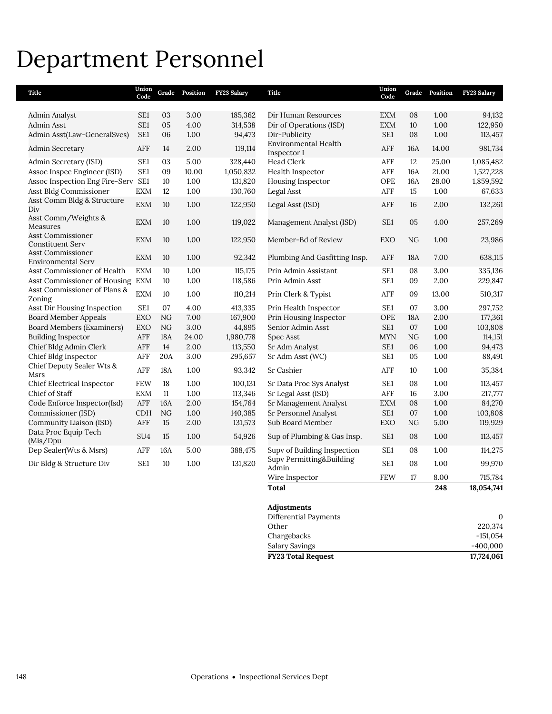## Department Personnel

| Title                                                 | Union<br>Code   | Grade      | Position | FY23 Salary | <b>Title</b>                         | Union<br>Code   | Grade | Position | FY23 Salary  |
|-------------------------------------------------------|-----------------|------------|----------|-------------|--------------------------------------|-----------------|-------|----------|--------------|
|                                                       |                 |            |          |             |                                      |                 |       |          |              |
| Admin Analyst                                         | SE <sub>1</sub> | 03         | 3.00     | 185,362     | Dir Human Resources                  | EXM             | 08    | 1.00     | 94,132       |
| <b>Admin Asst</b>                                     | SE1             | 05         | 4.00     | 314,538     | Dir of Operations (ISD)              | <b>EXM</b>      | 10    | 1.00     | 122,950      |
| Admin Asst(Law-GeneralSvcs)                           | SE1             | 06         | 1.00     | 94,473      | Dir-Publicity                        | SE1             | 08    | 1.00     | 113,457      |
| Admin Secretary                                       | AFF             | 14         | 2.00     | 119,114     | Environmental Health<br>Inspector I  | ${\rm AFF}$     | 16A   | 14.00    | 981,734      |
| Admin Secretary (ISD)                                 | SE1             | 03         | 5.00     | 328,440     | Head Clerk                           | AFF             | 12    | 25.00    | 1,085,482    |
| Assoc Inspec Engineer (ISD)                           | SE1             | 09         | 10.00    | 1,050,832   | Health Inspector                     | AFF             | 16A   | 21.00    | 1,527,228    |
| Assoc Inspection Eng Fire-Serv SE1                    |                 | 10         | 1.00     | 131,820     | Housing Inspector                    | OPE             | 16A   | 28.00    | 1,859,592    |
| Asst Bldg Commissioner                                | <b>EXM</b>      | 12         | 1.00     | 130,760     | Legal Asst                           | AFF             | 15    | 1.00     | 67,633       |
| Asst Comm Bldg & Structure<br>Div                     | <b>EXM</b>      | 10         | 1.00     | 122,950     | Legal Asst (ISD)                     | AFF             | 16    | 2.00     | 132,261      |
| Asst Comm/Weights &<br>Measures                       | <b>EXM</b>      | 10         | 1.00     | 119,022     | Management Analyst (ISD)             | SE <sub>1</sub> | 05    | 4.00     | 257,269      |
| <b>Asst Commissioner</b><br><b>Constituent Serv</b>   | <b>EXM</b>      | 10         | 1.00     | 122,950     | Member-Bd of Review                  | <b>EXO</b>      | NG    | 1.00     | 23,986       |
| <b>Asst Commissioner</b><br><b>Environmental Serv</b> | <b>EXM</b>      | 10         | 1.00     | 92,342      | Plumbing And Gasfitting Insp.        | AFF             | 18A   | 7.00     | 638,115      |
| Asst Commissioner of Health                           | <b>EXM</b>      | 10         | 1.00     | 115,175     | Prin Admin Assistant                 | SE1             | 08    | 3.00     | 335,136      |
| Asst Commissioner of Housing                          | EXM             | 10         | 1.00     | 118,586     | Prin Admin Asst                      | SE1             | 09    | 2.00     | 229,847      |
| Asst Commissioner of Plans &<br>Zoning                | <b>EXM</b>      | 10         | 1.00     | 110,214     | Prin Clerk & Typist                  | AFF             | 09    | 13.00    | 510,317      |
| Asst Dir Housing Inspection                           | SE1             | 07         | 4.00     | 413,335     | Prin Health Inspector                | SE1             | 07    | 3.00     | 297,752      |
| <b>Board Member Appeals</b>                           | EXO             | NG         | 7.00     | 167,900     | Prin Housing Inspector               | OPE             | 18A   | 2.00     | 177,361      |
| <b>Board Members (Examiners)</b>                      | EXO             | NG         | 3.00     | 44,895      | Senior Admin Asst                    | SE1             | 07    | 1.00     | 103,808      |
| <b>Building Inspector</b>                             | AFF             | 18A        | 24.00    | 1,980,778   | Spec Asst                            | MYN             | NG    | $1.00\,$ | 114,151      |
| Chief Bldg Admin Clerk                                | AFF             | $14\,$     | 2.00     | 113,550     | Sr Adm Analyst                       | SE1             | 06    | 1.00     | 94,473       |
| Chief Bldg Inspector                                  | AFF             | 20A        | 3.00     | 295,657     | Sr Adm Asst (WC)                     | SE1             | 05    | 1.00     | 88,491       |
| Chief Deputy Sealer Wts &<br>Msrs                     | AFF             | 18A        | 1.00     | 93,342      | Sr Cashier                           | AFF             | 10    | 1.00     | 35,384       |
| Chief Electrical Inspector                            | <b>FEW</b>      | 18         | 1.00     | 100,131     | Sr Data Proc Sys Analyst             | SE1             | 08    | 1.00     | 113,457      |
| Chief of Staff                                        | <b>EXM</b>      | $11\,$     | 1.00     | 113,346     | Sr Legal Asst (ISD)                  | ${\sf AFF}$     | 16    | 3.00     | 217,777      |
| Code Enforce Inspector(Isd)                           | AFF             | <b>16A</b> | 2.00     | 154,764     | Sr Management Analyst                | <b>EXM</b>      | 08    | $1.00\,$ | 84,270       |
| Commissioner (ISD)                                    | <b>CDH</b>      | NG         | 1.00     | 140,385     | Sr Personnel Analyst                 | SE1             | 07    | $1.00\,$ | 103,808      |
| Community Liaison (ISD)                               | AFF             | 15         | 2.00     | 131,573     | Sub Board Member                     | <b>EXO</b>      | NG    | 5.00     | 119,929      |
| Data Proc Equip Tech<br>(Mis/Dpu                      | SU <sub>4</sub> | 15         | 1.00     | 54,926      | Sup of Plumbing & Gas Insp.          | SE1             | 08    | 1.00     | 113,457      |
| Dep Sealer(Wts & Msrs)                                | AFF             | 16A        | 5.00     | 388,475     | Supv of Building Inspection          | SE1             | 08    | 1.00     | 114,275      |
| Dir Bldg & Structure Div                              | SE <sub>1</sub> | 10         | 1.00     | 131,820     | Supv Permitting&Building<br>Admin    | SE1             | 08    | 1.00     | 99,970       |
|                                                       |                 |            |          |             | Wire Inspector                       | <b>FEW</b>      | 17    | 8.00     | 715,784      |
|                                                       |                 |            |          |             | <b>Total</b>                         |                 |       | 248      | 18,054,741   |
|                                                       |                 |            |          |             | Adjustments<br>Differential Payments |                 |       |          | $\mathbf{0}$ |

| <b>FY23 Total Request</b> | 17,724,061 |
|---------------------------|------------|
| Salary Savings            | $-400.000$ |
| Chargebacks               | $-151.054$ |
| Other                     | 220,374    |
| Differential Payments     |            |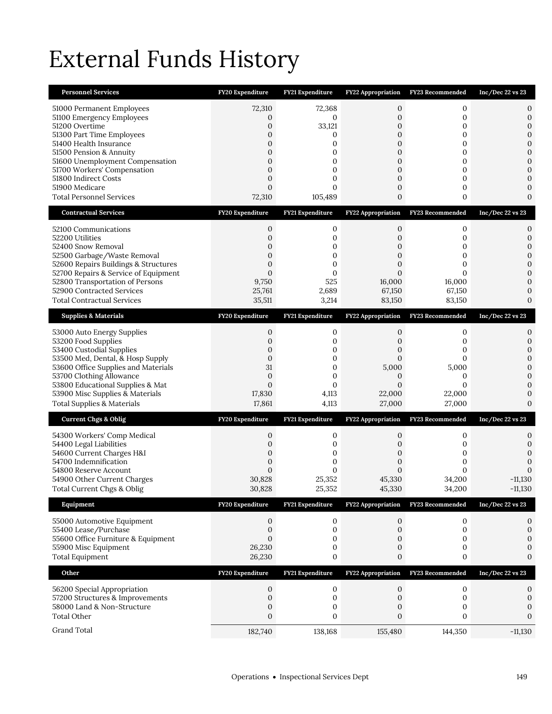# External Funds History

| <b>Personnel Services</b>                                                                                                                                                                                                                                                                                 | FY20 Expenditure                                                                                                | FY21 Expenditure                                                               | <b>FY22 Appropriation</b>                                                          | FY23 Recommended                                               | Inc/Dec 22 vs 23                                                                                                                                        |
|-----------------------------------------------------------------------------------------------------------------------------------------------------------------------------------------------------------------------------------------------------------------------------------------------------------|-----------------------------------------------------------------------------------------------------------------|--------------------------------------------------------------------------------|------------------------------------------------------------------------------------|----------------------------------------------------------------|---------------------------------------------------------------------------------------------------------------------------------------------------------|
| 51000 Permanent Employees<br>51100 Emergency Employees<br>51200 Overtime<br>51300 Part Time Employees<br>51400 Health Insurance<br>51500 Pension & Annuity<br>51600 Unemployment Compensation<br>51700 Workers' Compensation<br>51800 Indirect Costs<br>51900 Medicare<br><b>Total Personnel Services</b> | 72,310<br>0<br>0<br>0<br>0<br>0<br>$\overline{0}$<br>$\overline{0}$<br>$\mathbf{0}$<br>$\overline{0}$<br>72,310 | 72,368<br>$\mathbf{0}$<br>33,121<br>0<br>0<br>0<br>0<br>0<br>0<br>0<br>105,489 | 0<br>0<br>0<br>0<br>0<br>0<br>0<br>$\overline{0}$<br>0<br>0<br>0                   | 0<br>$\mathbf{0}$<br>0<br>0<br>0<br>0<br>0<br>0<br>0<br>0<br>0 | 0<br>$\mathbf{0}$<br>$\boldsymbol{0}$<br>$\mathbf{0}$<br>$\boldsymbol{0}$<br>$\boldsymbol{0}$<br>$\mathbf{0}$<br>$\mathbf{0}$<br>0<br>0<br>$\mathbf{0}$ |
| <b>Contractual Services</b>                                                                                                                                                                                                                                                                               | FY20 Expenditure                                                                                                | FY21 Expenditure                                                               | <b>FY22 Appropriation</b>                                                          | <b>FY23 Recommended</b>                                        | $Inc/Dec$ 22 vs 23                                                                                                                                      |
| 52100 Communications<br>52200 Utilities<br>52400 Snow Removal<br>52500 Garbage/Waste Removal<br>52600 Repairs Buildings & Structures<br>52700 Repairs & Service of Equipment<br>52800 Transportation of Persons<br>52900 Contracted Services<br><b>Total Contractual Services</b>                         | $\mathbf 0$<br>0<br>0<br>$\mathbf{0}$<br>$\overline{0}$<br>$\overline{0}$<br>9,750<br>25,761<br>35,511          | 0<br>0<br>0<br>0<br>0<br>0<br>525<br>2,689<br>3,214                            | 0<br>0<br>0<br>0<br>$\overline{0}$<br>$\overline{0}$<br>16,000<br>67,150<br>83,150 | 0<br>0<br>0<br>0<br>0<br>0<br>16,000<br>67,150<br>83,150       | 0<br>$\mathbf{0}$<br>$\mathbf{0}$<br>$\mathbf 0$<br>$\mathbf{0}$<br>$\mathbf{0}$<br>$\mathbf{0}$<br>$\Omega$<br>$\mathbf{0}$                            |
| <b>Supplies &amp; Materials</b>                                                                                                                                                                                                                                                                           | FY20 Expenditure                                                                                                | FY21 Expenditure                                                               | FY22 Appropriation                                                                 | FY23 Recommended                                               | $Inc/Dec$ 22 vs 23                                                                                                                                      |
| 53000 Auto Energy Supplies<br>53200 Food Supplies<br>53400 Custodial Supplies<br>53500 Med, Dental, & Hosp Supply<br>53600 Office Supplies and Materials<br>53700 Clothing Allowance<br>53800 Educational Supplies & Mat<br>53900 Misc Supplies & Materials<br>Total Supplies & Materials                 | 0<br>0<br>0<br>$\mathbf{0}$<br>31<br>$\mathbf{0}$<br>$\mathbf{0}$<br>17,830<br>17,861                           | 0<br>0<br>0<br>0<br>0<br>0<br>0<br>4,113<br>4,113                              | 0<br>0<br>0<br>0<br>5,000<br>0<br>0<br>22,000<br>27,000                            | 0<br>0<br>0<br>0<br>5,000<br>0<br>$\Omega$<br>22,000<br>27,000 | 0<br>$\boldsymbol{0}$<br>$\mathbf{0}$<br>$\boldsymbol{0}$<br>$\mathbf{0}$<br>$\Omega$<br>0<br>0<br>$\mathbf{0}$                                         |
| <b>Current Chgs &amp; Oblig</b>                                                                                                                                                                                                                                                                           | FY20 Expenditure                                                                                                | FY21 Expenditure                                                               | <b>FY22 Appropriation</b>                                                          | FY23 Recommended                                               | $Inc/Dec$ 22 vs 23                                                                                                                                      |
| 54300 Workers' Comp Medical<br>54400 Legal Liabilities<br>54600 Current Charges H&I<br>54700 Indemnification<br>54800 Reserve Account<br>54900 Other Current Charges<br>Total Current Chgs & Oblig                                                                                                        | 0<br>$\mathbf{0}$<br>0<br>0<br>$\Omega$<br>30,828<br>30,828                                                     | 0<br>0<br>0<br>0<br>0<br>25,352<br>25,352                                      | 0<br>0<br>0<br>0<br>$\Omega$<br>45,330<br>45,330                                   | 0<br>0<br>0<br>0<br>0<br>34,200<br>34,200                      | 0<br>$\boldsymbol{0}$<br>0<br>$\mathbf{0}$<br>$\Omega$<br>$-11,130$<br>$-11,130$                                                                        |
| Equipment                                                                                                                                                                                                                                                                                                 | FY20 Expenditure                                                                                                | FY21 Expenditure                                                               | <b>FY22 Appropriation</b>                                                          | FY23 Recommended                                               | $Inc/Dec$ 22 vs 23                                                                                                                                      |
| 55000 Automotive Equipment<br>55400 Lease/Purchase<br>55600 Office Furniture & Equipment<br>55900 Misc Equipment<br><b>Total Equipment</b>                                                                                                                                                                | 0<br>0<br>$\mathbf{0}$<br>26,230<br>26,230                                                                      | 0<br>0<br>0<br>0<br>0                                                          | 0<br>0<br>0<br>0<br>0                                                              | $\boldsymbol{0}$<br>0<br>0<br>0<br>0                           | 0<br>0<br>$\boldsymbol{0}$<br>0<br>$\boldsymbol{0}$                                                                                                     |
| Other                                                                                                                                                                                                                                                                                                     | FY20 Expenditure                                                                                                | FY21 Expenditure                                                               | FY22 Appropriation                                                                 | FY23 Recommended                                               | Inc/Dec 22 vs 23                                                                                                                                        |
| 56200 Special Appropriation<br>57200 Structures & Improvements<br>58000 Land & Non-Structure<br><b>Total Other</b>                                                                                                                                                                                        | 0<br>0<br>0<br>$\mathbf{0}$                                                                                     | 0<br>0<br>0<br>0                                                               | 0<br>$\mathbf 0$<br>0<br>$\boldsymbol{0}$                                          | 0<br>$\mathbf{0}$<br>0<br>0                                    | 0<br>$\boldsymbol{0}$<br>0<br>$\mathbf{0}$                                                                                                              |
| Grand Total                                                                                                                                                                                                                                                                                               | 182,740                                                                                                         | 138,168                                                                        | 155,480                                                                            | 144,350                                                        | $-11,130$                                                                                                                                               |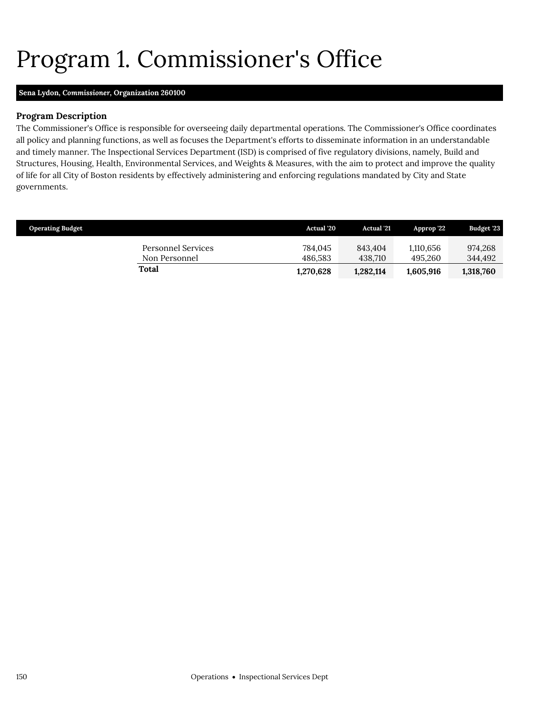# <span id="page-9-0"></span>Program 1. Commissioner's Office

### **Sena Lydon,** *Commissioner,* **Organization 260100**

## **Program Description**

The Commissioner's Office is responsible for overseeing daily departmental operations. The Commissioner's Office coordinates all policy and planning functions, as well as focuses the Department's efforts to disseminate information in an understandable and timely manner. The Inspectional Services Department (ISD) is comprised of five regulatory divisions, namely, Build and Structures, Housing, Health, Environmental Services, and Weights & Measures, with the aim to protect and improve the quality of life for all City of Boston residents by effectively administering and enforcing regulations mandated by City and State governments.

| <b>Operating Budget</b>             | <b>Actual</b> '20  | <b>Actual</b> '21  | Approp '22           | <b>Budget '23</b>  |
|-------------------------------------|--------------------|--------------------|----------------------|--------------------|
| Personnel Services<br>Non Personnel | 784.045<br>486.583 | 843.404<br>438.710 | 1.110.656<br>495.260 | 974.268<br>344.492 |
| Total                               | 1,270,628          | 1,282,114          | 1.605.916            | 1,318,760          |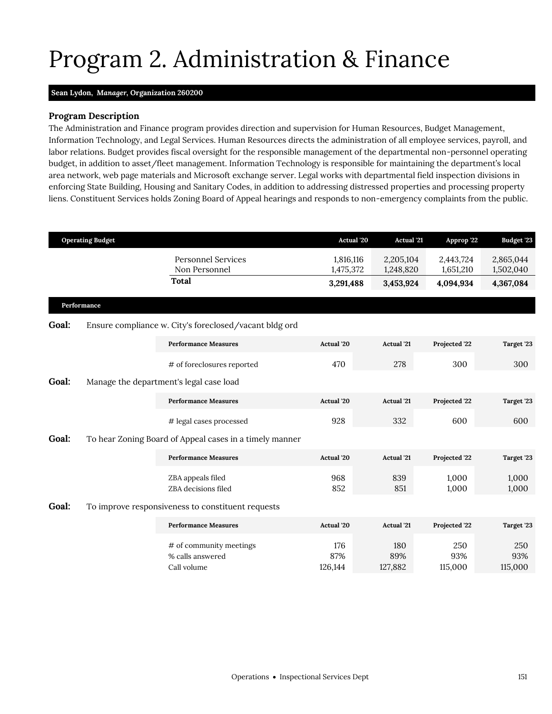# <span id="page-10-0"></span>Program 2. Administration & Finance

## **Sean Lydon,** *Manager,* **Organization 260200**

## **Program Description**

The Administration and Finance program provides direction and supervision for Human Resources, Budget Management, Information Technology, and Legal Services. Human Resources directs the administration of all employee services, payroll, and labor relations. Budget provides fiscal oversight for the responsible management of the departmental non-personnel operating budget, in addition to asset/fleet management. Information Technology is responsible for maintaining the department's local area network, web page materials and Microsoft exchange server. Legal works with departmental field inspection divisions in enforcing State Building, Housing and Sanitary Codes, in addition to addressing distressed properties and processing property liens. Constituent Services holds Zoning Board of Appeal hearings and responds to non-emergency complaints from the public.

|       | <b>Operating Budget</b> |                                                            | Actual '20             | <b>Actual</b> '21      | Approp '22             | <b>Budget '23</b>      |
|-------|-------------------------|------------------------------------------------------------|------------------------|------------------------|------------------------|------------------------|
|       |                         | <b>Personnel Services</b><br>Non Personnel                 | 1,816,116<br>1,475,372 | 2,205,104<br>1,248,820 | 2,443,724<br>1,651,210 | 2,865,044<br>1,502,040 |
|       |                         | <b>Total</b>                                               | 3,291,488              | 3,453,924              | 4,094,934              | 4,367,084              |
|       | Performance             |                                                            |                        |                        |                        |                        |
| Goal: |                         | Ensure compliance w. City's foreclosed/vacant bldg ord     |                        |                        |                        |                        |
|       |                         | <b>Performance Measures</b>                                | Actual '20             | <b>Actual</b> '21      | Projected '22          | Target '23             |
|       |                         | # of foreclosures reported                                 | 470                    | 278                    | 300                    | 300                    |
| Goal: |                         | Manage the department's legal case load                    |                        |                        |                        |                        |
|       |                         | <b>Performance Measures</b>                                | Actual '20             | <b>Actual</b> '21      | Projected '22          | Target '23             |
|       |                         | # legal cases processed                                    | 928                    | 332                    | 600                    | 600                    |
| Goal: |                         | To hear Zoning Board of Appeal cases in a timely manner    |                        |                        |                        |                        |
|       |                         | <b>Performance Measures</b>                                | Actual '20             | Actual '21             | Projected '22          | Target '23             |
|       |                         | ZBA appeals filed<br>ZBA decisions filed                   | 968<br>852             | 839<br>851             | 1,000<br>1,000         | 1,000<br>1,000         |
| Goal: |                         | To improve responsiveness to constituent requests          |                        |                        |                        |                        |
|       |                         | <b>Performance Measures</b>                                | Actual '20             | <b>Actual</b> '21      | Projected '22          | Target '23             |
|       |                         | # of community meetings<br>% calls answered<br>Call volume | 176<br>87%<br>126,144  | 180<br>89%<br>127,882  | 250<br>93%<br>115,000  | 250<br>93%<br>115,000  |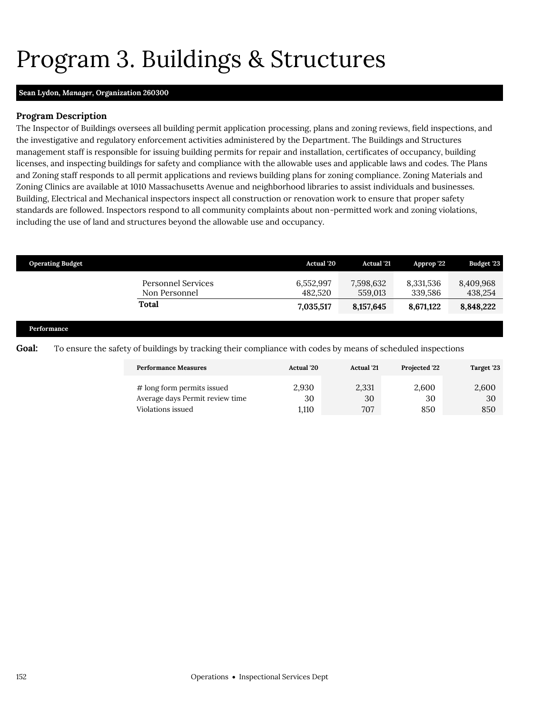# <span id="page-11-0"></span>Program 3. Buildings & Structures

## **Sean Lydon,** *Manager,* **Organization 260300**

## **Program Description**

The Inspector of Buildings oversees all building permit application processing, plans and zoning reviews, field inspections, and the investigative and regulatory enforcement activities administered by the Department. The Buildings and Structures management staff is responsible for issuing building permits for repair and installation, certificates of occupancy, building licenses, and inspecting buildings for safety and compliance with the allowable uses and applicable laws and codes. The Plans and Zoning staff responds to all permit applications and reviews building plans for zoning compliance. Zoning Materials and Zoning Clinics are available at 1010 Massachusetts Avenue and neighborhood libraries to assist individuals and businesses. Building, Electrical and Mechanical inspectors inspect all construction or renovation work to ensure that proper safety standards are followed. Inspectors respond to all community complaints about non-permitted work and zoning violations, including the use of land and structures beyond the allowable use and occupancy.

|       | <b>Operating Budget</b>                                                                                     | <b>Actual</b> '20    | <b>Actual</b> '21    | Approp '22           | Budget '23           |  |  |  |
|-------|-------------------------------------------------------------------------------------------------------------|----------------------|----------------------|----------------------|----------------------|--|--|--|
|       | <b>Personnel Services</b><br>Non Personnel                                                                  | 6,552,997<br>482,520 | 7,598,632<br>559,013 | 8,331,536<br>339,586 | 8,409,968<br>438,254 |  |  |  |
|       | Total                                                                                                       | 7,035,517            | 8,157,645            | 8,671,122            | 8,848,222            |  |  |  |
|       | Performance                                                                                                 |                      |                      |                      |                      |  |  |  |
| Goal: | To ensure the safety of buildings by tracking their compliance with codes by means of scheduled inspections |                      |                      |                      |                      |  |  |  |

| <b>Performance Measures</b>                                   | <b>Actual</b> '20 | <b>Actual</b> '21 | <b>Projected '22</b> | Target '23  |
|---------------------------------------------------------------|-------------------|-------------------|----------------------|-------------|
| # long form permits issued<br>Average days Permit review time | 2.930<br>30       | 2,331<br>30       | 2.600<br>30          | 2,600<br>30 |
| Violations issued                                             | 1.110             | 707               | 850                  | 850         |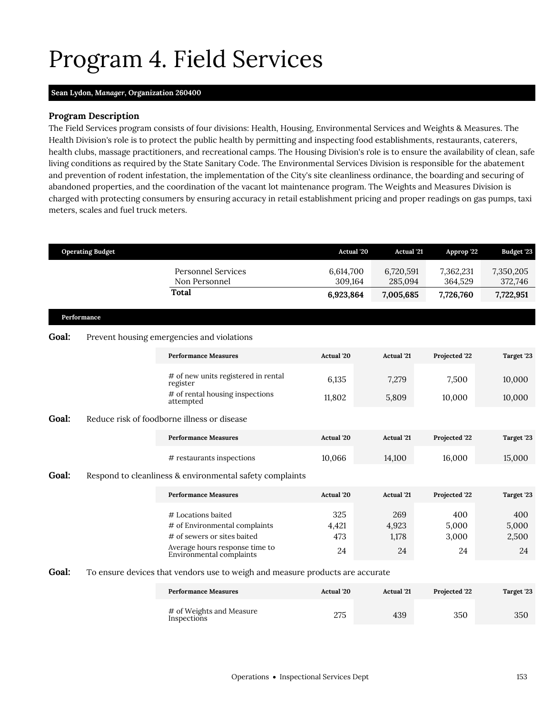# <span id="page-12-0"></span>Program 4. Field Services

#### **Sean Lydon,** *Manager,* **Organization 260400**

### **Program Description**

The Field Services program consists of four divisions: Health, Housing, Environmental Services and Weights & Measures. The Health Division's role is to protect the public health by permitting and inspecting food establishments, restaurants, caterers, health clubs, massage practitioners, and recreational camps. The Housing Division's role is to ensure the availability of clean, safe living conditions as required by the State Sanitary Code. The Environmental Services Division is responsible for the abatement and prevention of rodent infestation, the implementation of the City's site cleanliness ordinance, the boarding and securing of abandoned properties, and the coordination of the vacant lot maintenance program. The Weights and Measures Division is charged with protecting consumers by ensuring accuracy in retail establishment pricing and proper readings on gas pumps, taxi meters, scales and fuel truck meters.

|       | <b>Operating Budget</b> |                                                                                                                                                  | Actual '20                | <b>Actual '21</b>           | Approp '22                  | <b>Budget '23</b>           |
|-------|-------------------------|--------------------------------------------------------------------------------------------------------------------------------------------------|---------------------------|-----------------------------|-----------------------------|-----------------------------|
|       |                         | <b>Personnel Services</b><br>Non Personnel                                                                                                       | 6,614,700<br>309,164      | 6,720,591<br>285,094        | 7,362,231<br>364,529        | 7,350,205<br>372,746        |
|       |                         | <b>Total</b>                                                                                                                                     | 6,923,864                 | 7,005,685                   | 7,726,760                   | 7,722,951                   |
|       | Performance             |                                                                                                                                                  |                           |                             |                             |                             |
| Goal: |                         | Prevent housing emergencies and violations                                                                                                       |                           |                             |                             |                             |
|       |                         | <b>Performance Measures</b>                                                                                                                      | <b>Actual</b> '20         | <b>Actual</b> '21           | Projected '22               | Target '23                  |
|       |                         | # of new units registered in rental<br>register                                                                                                  | 6,135                     | 7,279                       | 7,500                       | 10,000                      |
|       |                         | # of rental housing inspections<br>attempted                                                                                                     | 11,802                    | 5,809                       | 10,000                      | 10,000                      |
| Goal: |                         | Reduce risk of foodborne illness or disease                                                                                                      |                           |                             |                             |                             |
|       |                         | <b>Performance Measures</b>                                                                                                                      | <b>Actual</b> '20         | <b>Actual</b> '21           | Projected '22               | Target '23                  |
|       |                         | # restaurants inspections                                                                                                                        | 10,066                    | 14,100                      | 16,000                      | 15,000                      |
| Goal: |                         | Respond to cleanliness & environmental safety complaints                                                                                         |                           |                             |                             |                             |
|       |                         | <b>Performance Measures</b>                                                                                                                      | Actual '20                | <b>Actual</b> '21           | Projected '22               | Target '23                  |
|       |                         | # Locations baited<br># of Environmental complaints<br># of sewers or sites baited<br>Average hours response time to<br>Environmental complaints | 325<br>4,421<br>473<br>24 | 269<br>4,923<br>1,178<br>24 | 400<br>5,000<br>3,000<br>24 | 400<br>5,000<br>2,500<br>24 |
| Goal: |                         | To ensure devices that vendors use to weigh and measure products are accurate                                                                    |                           |                             |                             |                             |
|       |                         | <b>Performance Measures</b>                                                                                                                      | Actual '20                | <b>Actual</b> '21           | Projected '22               | Target '23                  |
|       |                         | # of Weights and Measure<br>Inspections                                                                                                          | 275                       | 439                         | 350                         | 350                         |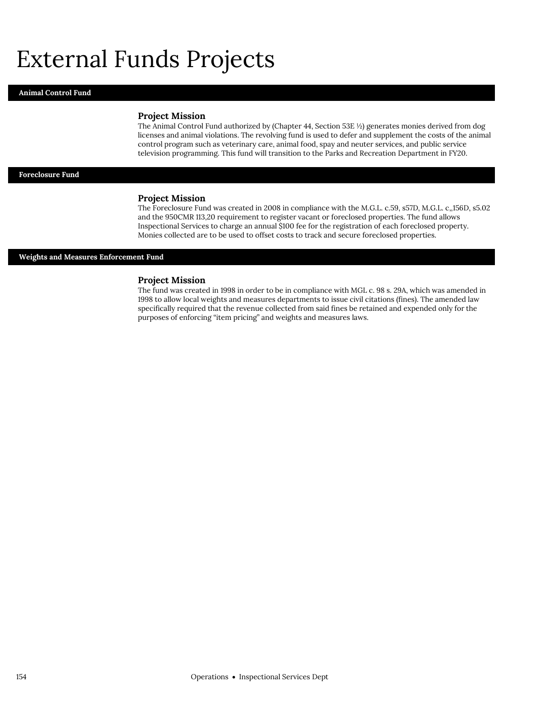## External Funds Projects

#### **Animal Control Fund**

#### **Project Mission**

The Animal Control Fund authorized by (Chapter 44, Section 53E ½) generates monies derived from dog licenses and animal violations. The revolving fund is used to defer and supplement the costs of the animal control program such as veterinary care, animal food, spay and neuter services, and public service television programming. This fund will transition to the Parks and Recreation Department in FY20.

### **Foreclosure Fund**

#### **Project Mission**

The Foreclosure Fund was created in 2008 in compliance with the M.G.L. c.59, s57D, M.G.L. c,,156D, s5.02 and the 950CMR 113,20 requirement to register vacant or foreclosed properties. The fund allows Inspectional Services to charge an annual \$100 fee for the registration of each foreclosed property. Monies collected are to be used to offset costs to track and secure foreclosed properties.

#### **Weights and Measures Enforcement Fund**

#### **Project Mission**

The fund was created in 1998 in order to be in compliance with MGL c. 98 s. 29A, which was amended in 1998 to allow local weights and measures departments to issue civil citations (fines). The amended law specifically required that the revenue collected from said fines be retained and expended only for the purposes of enforcing "item pricing" and weights and measures laws.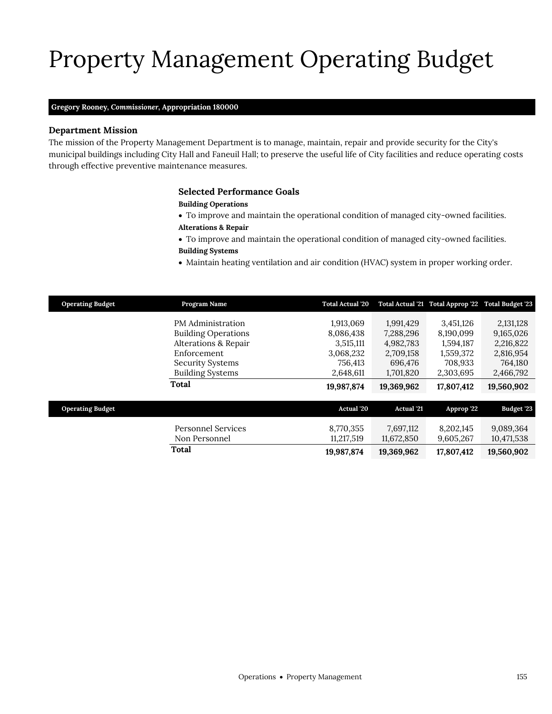# Property Management Operating Budget

#### **Gregory Rooney,** *Commissioner,* **Appropriation 180000**

## **Department Mission**

Property Management

The mission of the Property Management Department is to manage, maintain, repair and provide security for the City's municipal buildings including City Hall and Faneuil Hall; to preserve the useful life of City facilities and reduce operating costs through effective preventive maintenance measures.

## <span id="page-14-0"></span>**Selected Performance Goals**

#### **Building Operations**

- To improve and maintain the operational condition of managed city-owned facilities. **Alterations & Repair**
- To improve and maintain the operational condition of managed city-owned facilities.
- **Building Systems**
- Maintain heating ventilation and air condition (HVAC) system in proper working order.

| <b>Operating Budget</b> | Program Name               | <b>Total Actual '20</b> |                   | Total Actual '21 Total Approp '22 Total Budget '23 |            |
|-------------------------|----------------------------|-------------------------|-------------------|----------------------------------------------------|------------|
|                         | PM Administration          | 1,913,069               | 1,991,429         | 3,451,126                                          | 2,131,128  |
|                         | <b>Building Operations</b> | 8,086,438               | 7,288,296         | 8,190,099                                          | 9,165,026  |
|                         | Alterations & Repair       | 3,515,111               | 4,982,783         | 1,594,187                                          | 2,216,822  |
|                         | Enforcement                | 3,068,232               | 2,709,158         | 1,559,372                                          | 2,816,954  |
|                         | <b>Security Systems</b>    | 756,413                 | 696,476           | 708,933                                            | 764,180    |
|                         | <b>Building Systems</b>    | 2,648,611               | 1,701,820         | 2,303,695                                          | 2,466,792  |
|                         | <b>Total</b>               | 19,987,874              | 19,369,962        | 17,807,412                                         | 19,560,902 |
|                         |                            |                         |                   |                                                    |            |
| <b>Operating Budget</b> |                            | Actual '20              | <b>Actual</b> '21 | Approp '22                                         | Budget '23 |
|                         | <b>Personnel Services</b>  | 8,770,355               | 7,697,112         | 8,202,145                                          | 9,089,364  |
|                         | Non Personnel              | 11,217,519              | 11,672,850        | 9,605,267                                          | 10,471,538 |
|                         | <b>Total</b>               | 19,987,874              | 19,369,962        | 17,807,412                                         | 19,560,902 |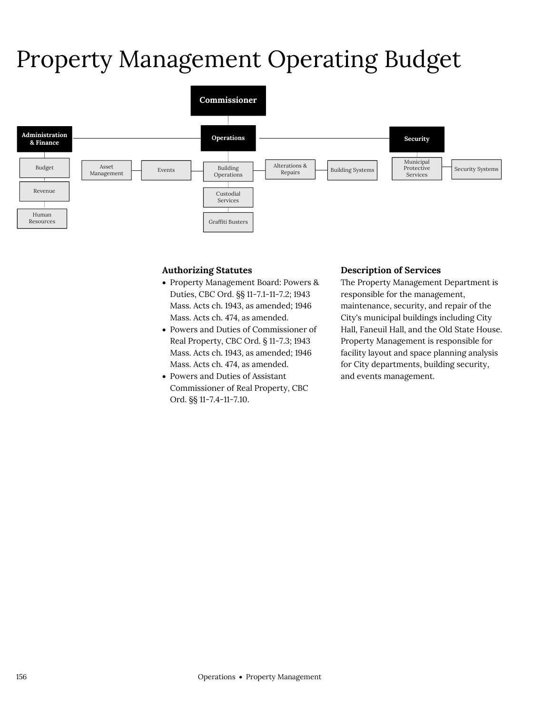# Property Management Operating Budget



## **Authorizing Statutes**

- Property Management Board: Powers & Duties, CBC Ord. §§ 11-7.1-11-7.2; 1943 Mass. Acts ch. 1943, as amended; 1946 Mass. Acts ch. 474, as amended.
- Powers and Duties of Commissioner of Real Property, CBC Ord. § 11-7.3; 1943 Mass. Acts ch. 1943, as amended; 1946 Mass. Acts ch. 474, as amended.
- Powers and Duties of Assistant Commissioner of Real Property, CBC Ord. §§ 11-7.4-11-7.10.

### **Description of Services**

The Property Management Department is responsible for the management, maintenance, security, and repair of the City's municipal buildings including City Hall, Faneuil Hall, and the Old State House. Property Management is responsible for facility layout and space planning analysis for City departments, building security, and events management.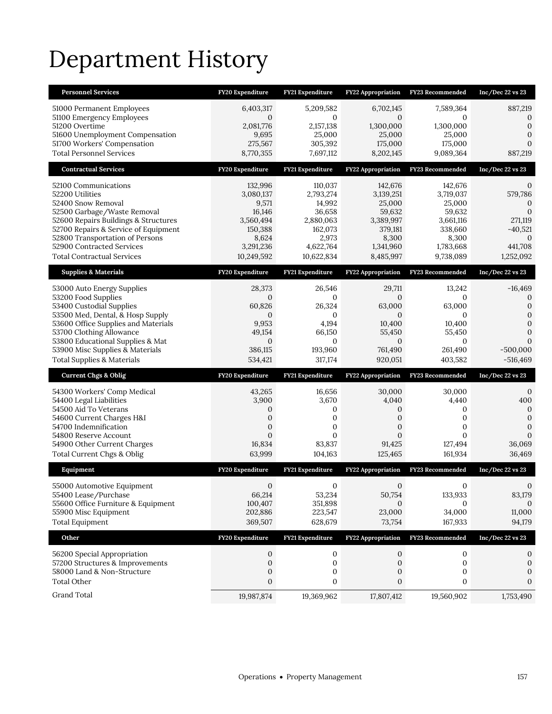# Department History

| <b>Personnel Services</b>             | FY20 Expenditure | <b>FY21 Expenditure</b> | <b>FY22 Appropriation</b> | FY23 Recommended        | Inc/Dec 22 vs 23 |
|---------------------------------------|------------------|-------------------------|---------------------------|-------------------------|------------------|
| 51000 Permanent Employees             | 6,403,317        | 5,209,582               | 6,702,145                 | 7,589,364               | 887,219          |
| 51100 Emergency Employees             | $\mathbf{0}$     | $\mathbf{0}$            | $\mathbf{0}$              | $\Omega$                | 0                |
| 51200 Overtime                        | 2,081,776        | 2,157,138               | 1,300,000                 | 1,300,000               | $\mathbf{0}$     |
| 51600 Unemployment Compensation       | 9,695            | 25,000                  | 25,000                    | 25,000                  | $\Omega$         |
| 51700 Workers' Compensation           | 275,567          | 305,392                 | 175,000                   | 175,000                 | $\Omega$         |
| <b>Total Personnel Services</b>       | 8,770,355        | 7,697,112               | 8,202,145                 | 9,089,364               | 887,219          |
| <b>Contractual Services</b>           | FY20 Expenditure | FY21 Expenditure        | <b>FY22 Appropriation</b> | <b>FY23 Recommended</b> | Inc/Dec 22 vs 23 |
| 52100 Communications                  | 132,996          | 110,037                 | 142,676                   | 142,676                 | 0                |
| 52200 Utilities                       | 3,080,137        | 2,793,274               | 3,139,251                 | 3,719,037               | 579,786          |
| 52400 Snow Removal                    | 9,571            | 14,992                  | 25,000                    | 25,000                  | $\mathbf 0$      |
| 52500 Garbage/Waste Removal           | 16,146           | 36,658                  | 59,632                    | 59,632                  | $\mathbf{0}$     |
| 52600 Repairs Buildings & Structures  | 3,560,494        | 2,880,063               | 3,389,997                 | 3,661,116               | 271,119          |
| 52700 Repairs & Service of Equipment  | 150,388          | 162,073                 | 379,181                   | 338,660                 | $-40,521$        |
| 52800 Transportation of Persons       | 8,624            | 2,973                   | 8,300                     | 8,300                   | $\Omega$         |
| 52900 Contracted Services             | 3,291,236        | 4,622,764               | 1,341,960                 | 1,783,668               | 441,708          |
| <b>Total Contractual Services</b>     | 10,249,592       | 10,622,834              | 8,485,997                 | 9,738,089               | 1,252,092        |
| <b>Supplies &amp; Materials</b>       | FY20 Expenditure | FY21 Expenditure        | FY22 Appropriation        | FY23 Recommended        | Inc/Dec 22 vs 23 |
| 53000 Auto Energy Supplies            | 28,373           | 26,546                  | 29,711                    | 13,242                  | $-16,469$        |
| 53200 Food Supplies                   | $\mathbf{0}$     | 0                       | $\mathbf{0}$              | 0                       | 0                |
| 53400 Custodial Supplies              | 60,826           | 26,324                  | 63,000                    | 63,000                  | $\mathbf{0}$     |
| 53500 Med, Dental, & Hosp Supply      | $\mathbf{0}$     | $\mathbf{0}$            | $\mathbf{0}$              | $\Omega$                | $\mathbf 0$      |
| 53600 Office Supplies and Materials   | 9,953            | 4,194                   | 10,400                    | 10,400                  | $\mathbf{0}$     |
| 53700 Clothing Allowance              | 49,154           | 66,150                  | 55,450                    | 55,450                  | $\mathbf{0}$     |
| 53800 Educational Supplies & Mat      | $\mathbf{0}$     | $\mathbf{0}$            | $\mathbf{0}$              | $\mathbf{0}$            | 0                |
| 53900 Misc Supplies & Materials       | 386,115          | 193,960                 | 761,490                   | 261,490                 | $-500,000$       |
| <b>Total Supplies &amp; Materials</b> | 534,421          | 317,174                 | 920,051                   | 403,582                 | $-516,469$       |
| <b>Current Chgs &amp; Oblig</b>       | FY20 Expenditure | FY21 Expenditure        | FY22 Appropriation        | FY23 Recommended        | Inc/Dec 22 vs 23 |
| 54300 Workers' Comp Medical           | 43,265           | 16,656                  | 30,000                    | 30,000                  | $\mathbf{0}$     |
| 54400 Legal Liabilities               | 3,900            | 3,670                   | 4,040                     | 4,440                   | 400              |
| 54500 Aid To Veterans                 | 0                | 0                       | 0                         | 0                       | $\mathbf{0}$     |
| 54600 Current Charges H&I             | $\boldsymbol{0}$ | 0                       | $\boldsymbol{0}$          | 0                       | $\mathbf{0}$     |
| 54700 Indemnification                 | 0                | 0                       | $\overline{0}$            | $\mathbf{0}$            | $\mathbf{0}$     |
| 54800 Reserve Account                 | $\overline{0}$   | 0                       | $\overline{0}$            | $\Omega$                | $\Omega$         |
| 54900 Other Current Charges           | 16,834           | 83,837                  | 91,425                    | 127,494                 | 36,069           |
| Total Current Chgs & Oblig            | 63,999           | 104,163                 | 125,465                   | 161,934                 | 36,469           |
| Equipment                             | FY20 Expenditure | FY21 Expenditure        | <b>FY22 Appropriation</b> | FY23 Recommended        | Inc/Dec 22 vs 23 |
| 55000 Automotive Equipment            | $\mathbf{0}$     | $\mathbf{0}$            | $\mathbf{0}$              | $\mathbf{0}$            | $\mathbf{0}$     |
| 55400 Lease/Purchase                  | 66,214           | 53,234                  | 50,754                    | 133,933                 | 83,179           |
| 55600 Office Furniture & Equipment    | 100,407          | 351,898                 | 0                         | 0                       | $\Omega$         |
| 55900 Misc Equipment                  | 202,886          | 223,547                 | 23,000                    | 34,000                  | 11,000           |
| <b>Total Equipment</b>                | 369,507          | 628,679                 | 73,754                    | 167,933                 | 94,179           |
| Other                                 | FY20 Expenditure | FY21 Expenditure        | <b>FY22 Appropriation</b> | FY23 Recommended        | Inc/Dec 22 vs 23 |
| 56200 Special Appropriation           | 0                | 0                       | 0                         | 0                       | 0                |
| 57200 Structures & Improvements       | $\boldsymbol{0}$ | $\boldsymbol{0}$        | 0                         | $\mathbf 0$             | $\mathbf{0}$     |
| 58000 Land & Non-Structure            | 0                | 0                       | 0                         | 0                       | 0                |
| <b>Total Other</b>                    | 0                | 0                       | 0                         | 0                       | 0                |
| Grand Total                           | 19,987,874       | 19,369,962              | 17,807,412                | 19,560,902              | 1,753,490        |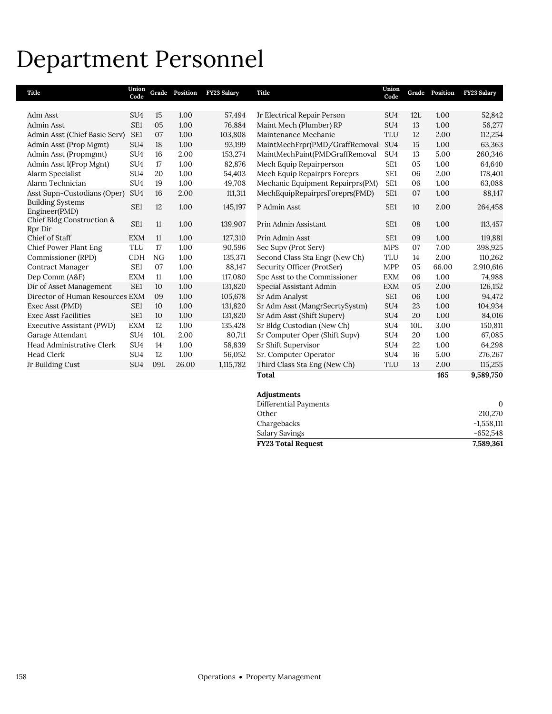## Department Personnel

| Title                                    | Union<br>Code   | Grade | Position | FY23 Salary | <b>Title</b>                     | Union<br>Code   | Grade           | Position | FY23 Salary |
|------------------------------------------|-----------------|-------|----------|-------------|----------------------------------|-----------------|-----------------|----------|-------------|
|                                          |                 |       |          |             |                                  |                 |                 |          |             |
| Adm Asst                                 | SU <sub>4</sub> | 15    | 1.00     | 57,494      | Jr Electrical Repair Person      | SU <sub>4</sub> | 12L             | 1.00     | 52,842      |
| Admin Asst                               | SE <sub>1</sub> | 05    | 1.00     | 76,884      | Maint Mech (Plumber) RP          | SU <sub>4</sub> | 13              | 1.00     | 56,277      |
| Admin Asst (Chief Basic Serv)            | SE <sub>1</sub> | 07    | 1.00     | 103,808     | Maintenance Mechanic             | TLU             | 12              | 2.00     | 112,254     |
| Admin Asst (Prop Mgmt)                   | SU <sub>4</sub> | 18    | 1.00     | 93,199      | MaintMechFrpr(PMD/GraffRemoval   | SU <sub>4</sub> | 15              | 1.00     | 63,363      |
| Admin Asst (Propmgmt)                    | SU <sub>4</sub> | 16    | 2.00     | 153,274     | MaintMechPaint(PMDGraffRemoval   | SU <sub>4</sub> | 13              | 5.00     | 260,346     |
| Admin Asst I(Prop Mgnt)                  | SU <sub>4</sub> | 17    | 1.00     | 82,876      | Mech Equip Repairperson          | SE1             | 05              | 1.00     | 64,640      |
| Alarm Specialist                         | SU <sub>4</sub> | 20    | 1.00     | 54,403      | Mech Equip Repairprs Foreprs     | SE1             | 06              | 2.00     | 178,401     |
| Alarm Technician                         | SU <sub>4</sub> | 19    | 1.00     | 49,708      | Mechanic Equipment Repairprs(PM) | SE <sub>1</sub> | 06              | 1.00     | 63,088      |
| Asst Supn-Custodians (Oper)              | SU <sub>4</sub> | 16    | 2.00     | 111,311     | MechEquipRepairprsForeprs(PMD)   | SE1             | 07              | 1.00     | 88,147      |
| <b>Building Systems</b><br>Engineer(PMD) | SE1             | 12    | 1.00     | 145,197     | P Admin Asst                     | SE1             | 10              | 2.00     | 264,458     |
| Chief Bldg Construction &<br>Rpr Dir     | SE <sub>1</sub> | 11    | 1.00     | 139,907     | Prin Admin Assistant             | SE <sub>1</sub> | 08              | 1.00     | 113,457     |
| Chief of Staff                           | <b>EXM</b>      | 11    | 1.00     | 127,310     | Prin Admin Asst                  | SE <sub>1</sub> | 09              | 1.00     | 119,881     |
| Chief Power Plant Eng                    | <b>TLU</b>      | 17    | 1.00     | 90,596      | Sec Supv (Prot Serv)             | <b>MPS</b>      | 07              | 7.00     | 398,925     |
| Commissioner (RPD)                       | <b>CDH</b>      | NG    | 1.00     | 135,371     | Second Class Sta Engr (New Ch)   | <b>TLU</b>      | 14              | 2.00     | 110,262     |
| Contract Manager                         | SE <sub>1</sub> | 07    | 1.00     | 88,147      | Security Officer (ProtSer)       | <b>MPP</b>      | 05              | 66.00    | 2,910,616   |
| Dep Comm (A&F)                           | <b>EXM</b>      | 11    | 1.00     | 117,080     | Spc Asst to the Commissioner     | <b>EXM</b>      | 06              | 1.00     | 74,988      |
| Dir of Asset Management                  | SE <sub>1</sub> | 10    | 1.00     | 131,820     | Special Assistant Admin          | <b>EXM</b>      | 05              | 2.00     | 126,152     |
| Director of Human Resources EXM          |                 | 09    | 1.00     | 105,678     | Sr Adm Analyst                   | SE1             | 06              | 1.00     | 94,472      |
| Exec Asst (PMD)                          | SE <sub>1</sub> | 10    | 1.00     | 131,820     | Sr Adm Asst (MangrSecrtySystm)   | SU <sub>4</sub> | 23              | 1.00     | 104,934     |
| <b>Exec Asst Facilities</b>              | SE <sub>1</sub> | 10    | 1.00     | 131,820     | Sr Adm Asst (Shift Superv)       | SU <sub>4</sub> | 20              | 1.00     | 84,016      |
| Executive Assistant (PWD)                | <b>EXM</b>      | 12    | 1.00     | 135,428     | Sr Bldg Custodian (New Ch)       | SU <sub>4</sub> | 10 <sub>L</sub> | 3.00     | 150,811     |
| Garage Attendant                         | SU <sub>4</sub> | 10L   | 2.00     | 80,711      | Sr Computer Oper (Shift Supv)    | SU <sub>4</sub> | 20              | 1.00     | 67,085      |
| Head Administrative Clerk                | SU <sub>4</sub> | 14    | 1.00     | 58,839      | Sr Shift Supervisor              | SU <sub>4</sub> | 22              | 1.00     | 64,298      |
| <b>Head Clerk</b>                        | SU <sub>4</sub> | 12    | 1.00     | 56,052      | Sr. Computer Operator            | SU <sub>4</sub> | 16              | 5.00     | 276,267     |
| Jr Building Cust                         | SU <sub>4</sub> | 09L   | 26.00    | 1,115,782   | Third Class Sta Eng (New Ch)     | <b>TLU</b>      | 13              | 2.00     | 115,255     |
|                                          |                 |       |          |             | <b>Total</b>                     |                 |                 | 165      | 9,589,750   |
|                                          |                 |       |          |             | $A = 11$                         |                 |                 |          |             |

| Adjustments               |              |
|---------------------------|--------------|
| Differential Payments     | 0            |
| Other                     | 210,270      |
| Chargebacks               | $-1,558,111$ |
| Salary Savings            | $-652,548$   |
| <b>FY23 Total Request</b> | 7,589,361    |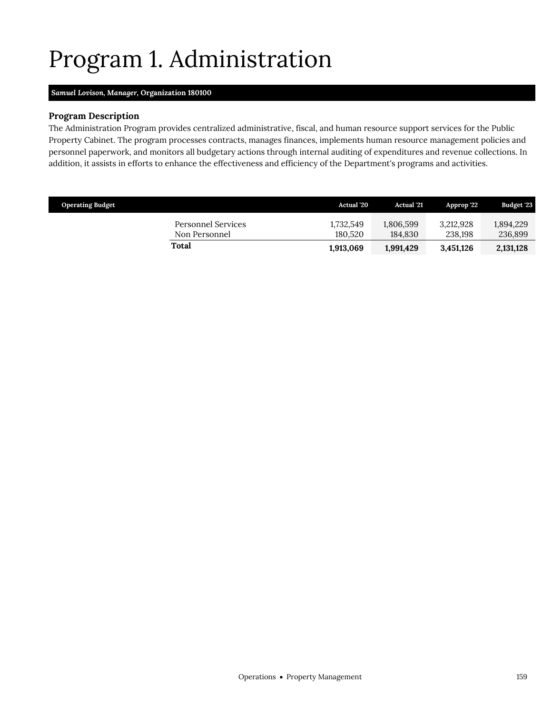# <span id="page-18-0"></span>Program 1. Administration

## *Samuel Lovison, Manager,* **Organization 180100**

## **Program Description**

The Administration Program provides centralized administrative, fiscal, and human resource support services for the Public Property Cabinet. The program processes contracts, manages finances, implements human resource management policies and personnel paperwork, and monitors all budgetary actions through internal auditing of expenditures and revenue collections. In addition, it assists in efforts to enhance the effectiveness and efficiency of the Department's programs and activities.

| <b>Operating Budget</b>                    | <b>Actual</b> '20    | <b>Actual</b> '21    | Approp '22           | <b>Budget '23</b>    |
|--------------------------------------------|----------------------|----------------------|----------------------|----------------------|
| <b>Personnel Services</b><br>Non Personnel | 1.732.549<br>180.520 | 1,806,599<br>184.830 | 3.212.928<br>238.198 | 1,894,229<br>236,899 |
| Total                                      | 1,913,069            | 1,991,429            | 3,451,126            | 2,131,128            |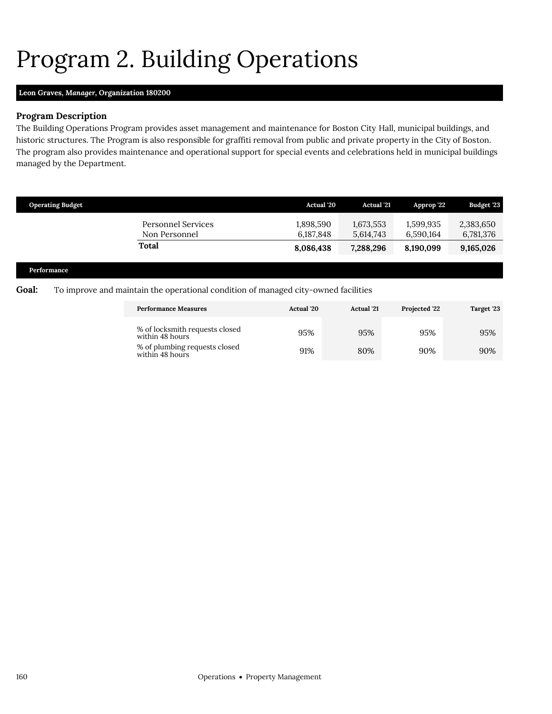# <span id="page-19-0"></span>Program 2. Building Operations

## **Leon Graves,** *Manager,* **Organization 180200**

## **Program Description**

The Building Operations Program provides asset management and maintenance for Boston City Hall, municipal buildings, and historic structures. The Program is also responsible for graffiti removal from public and private property in the City of Boston. The program also provides maintenance and operational support for special events and celebrations held in municipal buildings managed by the Department.

| <b>Operating Budget</b>                                                          |                                     | <b>Actual</b> '20      | <b>Actual</b> '21      | Approp '22             | <b>Budget '23</b>      |
|----------------------------------------------------------------------------------|-------------------------------------|------------------------|------------------------|------------------------|------------------------|
|                                                                                  | Personnel Services<br>Non Personnel | 1,898,590<br>6,187,848 | 1,673,553<br>5,614,743 | 1,599,935<br>6,590,164 | 2,383,650<br>6,781,376 |
|                                                                                  | Total                               | 8,086,438              | 7,288,296              | 8,190,099              | 9,165,026              |
|                                                                                  |                                     |                        |                        |                        |                        |
| $\mathbf{D}$ and $\mathbf{C}$ and $\mathbf{D}$ and $\mathbf{C}$ and $\mathbf{D}$ |                                     |                        |                        |                        |                        |

### **Performance**

## **Goal:** To improve and maintain the operational condition of managed city-owned facilities

| <b>Performance Measures</b>                       | Actual '20 | Projected '22<br><b>Actual</b> '21 |     | Target '23 |
|---------------------------------------------------|------------|------------------------------------|-----|------------|
| % of locksmith requests closed<br>within 48 hours | 95%        | 95%                                | 95% | 95%        |
| % of plumbing requests closed<br>within 48 hours  | 91%        | 80%                                | 90% | 90%        |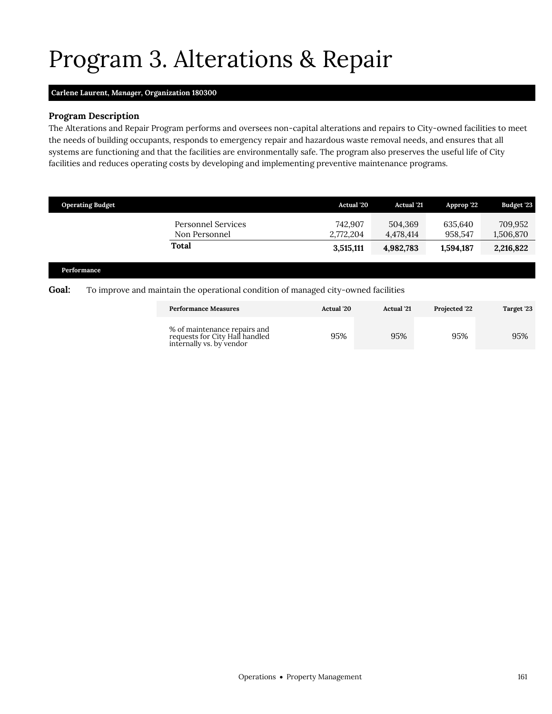# Program 3. Alterations & Repair

## **Carlene Laurent,** *Manager,* **Organization 180300**

## **Program Description**

The Alterations and Repair Program performs and oversees non-capital alterations and repairs to City-owned facilities to meet the needs of building occupants, responds to emergency repair and hazardous waste removal needs, and ensures that all systems are functioning and that the facilities are environmentally safe. The program also preserves the useful life of City facilities and reduces operating costs by developing and implementing preventive maintenance programs.

| <b>Operating Budget</b>             | <b>Actual</b> '20    | <b>Actual</b> '21    | Approp '22         | <b>Budget '23</b>    |
|-------------------------------------|----------------------|----------------------|--------------------|----------------------|
| Personnel Services<br>Non Personnel | 742.907<br>2,772,204 | 504.369<br>4.478.414 | 635.640<br>958.547 | 709,952<br>1,506,870 |
| <b>Total</b>                        | 3,515,111            | 4,982,783            | 1.594.187          | 2,216,822            |

#### **Performance**

### **Goal:** To improve and maintain the operational condition of managed city-owned facilities

<span id="page-20-0"></span>

| <b>Performance Measures</b>                                                                | <b>Actual</b> '20 | <b>Actual</b> '21 | <b>Projected '22</b> | Target '23 |
|--------------------------------------------------------------------------------------------|-------------------|-------------------|----------------------|------------|
| % of maintenance repairs and<br>requests for City Hall handled<br>internally vs. by vendor | 95%               | 95%               | 95%                  | 95%        |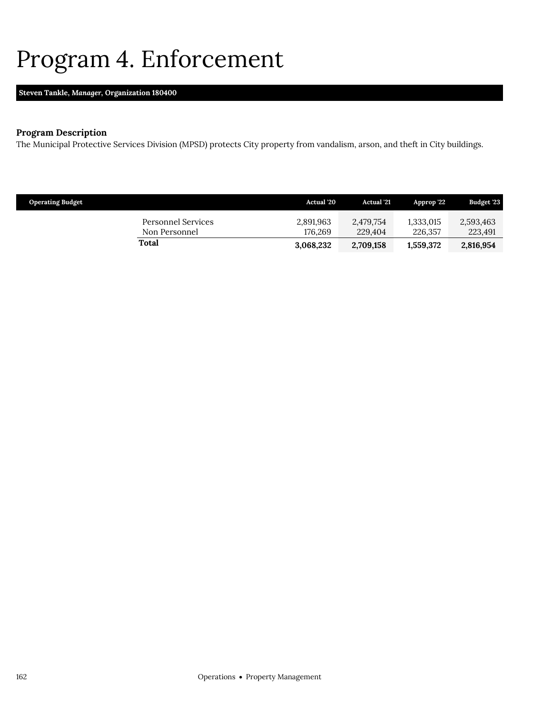## <span id="page-21-0"></span>Program 4. Enforcement

## **Steven Tankle,** *Manager,* **Organization 180400**

## **Program Description**

The Municipal Protective Services Division (MPSD) protects City property from vandalism, arson, and theft in City buildings.

| <b>Operating Budget</b> |                                     | Actual '20           | <b>Actual</b> '21    | Approp '22           | Budget '23           |
|-------------------------|-------------------------------------|----------------------|----------------------|----------------------|----------------------|
|                         | Personnel Services<br>Non Personnel | 2,891,963<br>176.269 | 2,479,754<br>229,404 | 1.333.015<br>226,357 | 2,593,463<br>223,491 |
| Total                   |                                     | 3,068,232            | 2,709,158            | 1,559,372            | 2,816,954            |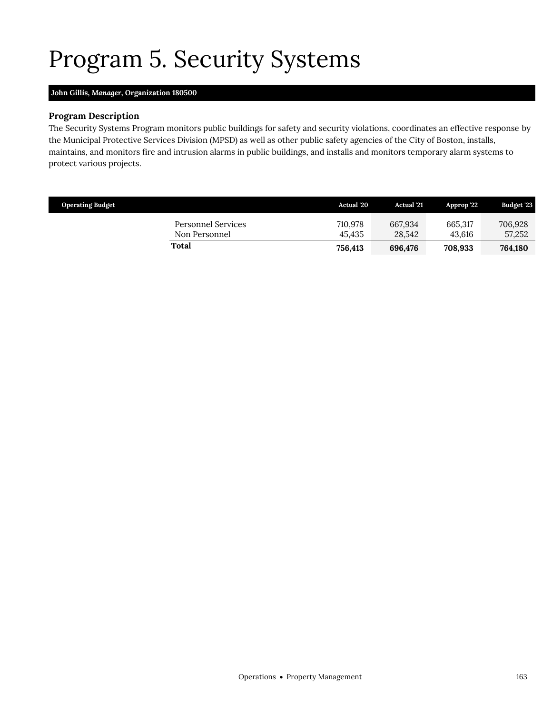# <span id="page-22-0"></span>Program 5. Security Systems

## **John Gillis,** *Manager,* **Organization 180500**

## **Program Description**

The Security Systems Program monitors public buildings for safety and security violations, coordinates an effective response by the Municipal Protective Services Division (MPSD) as well as other public safety agencies of the City of Boston, installs, maintains, and monitors fire and intrusion alarms in public buildings, and installs and monitors temporary alarm systems to protect various projects.

| <b>Operating Budget</b>                    | <b>Actual</b> '20 | Actual '21        | Approp '22        | <b>Budget '23</b> |
|--------------------------------------------|-------------------|-------------------|-------------------|-------------------|
| <b>Personnel Services</b><br>Non Personnel | 710,978<br>45.435 | 667.934<br>28.542 | 665.317<br>43.616 | 706,928<br>57,252 |
| Total                                      | 756.413           | 696.476           | 708.933           | 764,180           |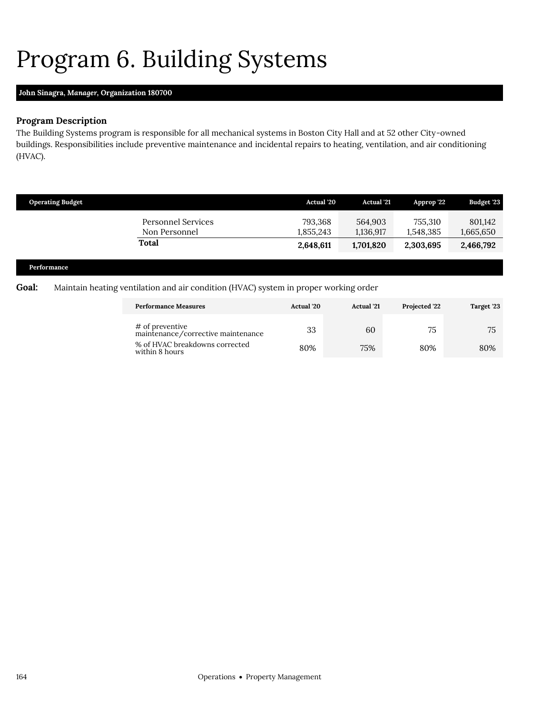# <span id="page-23-0"></span>Program 6. Building Systems

## **John Sinagra,** *Manager,* **Organization 180700**

## **Program Description**

The Building Systems program is responsible for all mechanical systems in Boston City Hall and at 52 other City-owned buildings. Responsibilities include preventive maintenance and incidental repairs to heating, ventilation, and air conditioning (HVAC).

| <b>Operating Budget</b>                | <b>Actual</b> '20    | <b>Actual</b> '21    | Approp '22           | <b>Budget '23</b>    |
|----------------------------------------|----------------------|----------------------|----------------------|----------------------|
| Personnel Services<br>Non Personnel    | 793,368<br>1,855,243 | 564,903<br>1,136,917 | 755,310<br>1,548,385 | 801,142<br>1,665,650 |
| Total                                  | 2,648,611            | 1,701,820            | 2,303,695            | 2,466,792            |
| <b>Dealer</b> and a series of <b>D</b> |                      |                      |                      |                      |

#### **Performance**

## **Goal:** Maintain heating ventilation and air condition (HVAC) system in proper working order

| <b>Performance Measures</b>                           | <b>Actual</b> '20 | <b>Actual</b> '21 | <b>Projected '22</b> | Target '23 |
|-------------------------------------------------------|-------------------|-------------------|----------------------|------------|
| # of preventive<br>maintenance/corrective maintenance | 33                | 60                | 75                   | 75         |
| % of HVAC breakdowns corrected<br>within 8 hours      | 80%               | 75%               | 80%                  | 80%        |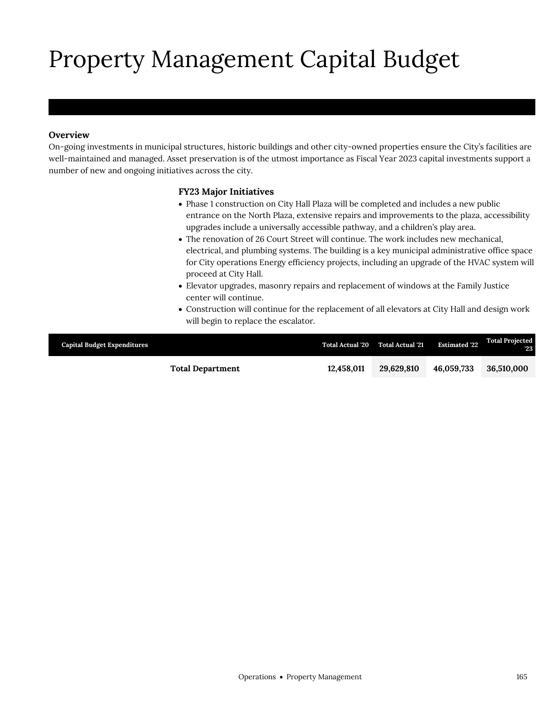# Property Management Capital Budget

## **Overview**

Property Management

On-going investments in municipal structures, historic buildings and other city-owned properties ensure the City's facilities are well-maintained and managed. Asset preservation is of the utmost importance as Fiscal Year 2023 capital investments support a number of new and ongoing initiatives across the city.

## **FY23 Major Initiatives**

- Phase 1 construction on City Hall Plaza will be completed and includes a new public entrance on the North Plaza, extensive repairs and improvements to the plaza, accessibility upgrades include a universally accessible pathway, and a children's play area.
- The renovation of 26 Court Street will continue. The work includes new mechanical, electrical, and plumbing systems. The building is a key municipal administrative office space for City operations Energy efficiency projects, including an upgrade of the HVAC system will proceed at City Hall.
- Elevator upgrades, masonry repairs and replacement of windows at the Family Justice center will continue.
- Construction will continue for the replacement of all elevators at City Hall and design work will begin to replace the escalator.

| <b>Capital Budget Expenditures</b> | <b>Total Actual '20</b> | <b>Total Actual '21</b> | <b>Estimated '22</b> | <b>Total Projected</b><br>"23 |
|------------------------------------|-------------------------|-------------------------|----------------------|-------------------------------|
| <b>Total Department</b>            | 12.458.011              | 29.629.810              | 46.059.733           | 36,510,000                    |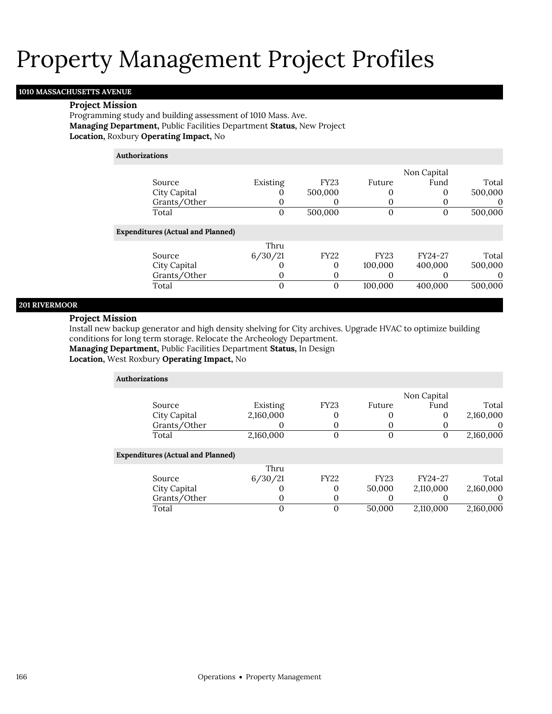## **1010 MASSACHUSETTS AVENUE**

#### **Project Mission**

Programming study and building assessment of 1010 Mass. Ave. **Managing Department,** Public Facilities Department **Status,** New Project **Location,** Roxbury **Operating Impact,** No

### **Authorizations**

|                                          |          |             |             | Non Capital |          |
|------------------------------------------|----------|-------------|-------------|-------------|----------|
| Source                                   | Existing | <b>FY23</b> | Future      | Fund        | Total    |
| City Capital                             |          | 500,000     | 0           |             | 500,000  |
| Grants/Other                             |          | O           |             |             | $\theta$ |
| Total                                    | $\Omega$ | 500,000     | $\Omega$    |             | 500,000  |
| <b>Expenditures (Actual and Planned)</b> |          |             |             |             |          |
|                                          | Thru     |             |             |             |          |
| Source                                   | 6/30/21  | <b>FY22</b> | <b>FY23</b> | FY24-27     | Total    |
| City Capital                             |          | 0           | 100,000     | 400,000     | 500,000  |
| Grants/Other                             | 0        | 0           |             |             |          |
| Total                                    | $\Omega$ | $\mathbf 0$ | 100,000     | 400,000     | 500,000  |
|                                          |          |             |             |             |          |

### **201 RIVERMOOR**

### **Project Mission**

Install new backup generator and high density shelving for City archives. Upgrade HVAC to optimize building conditions for long term storage. Relocate the Archeology Department.

**Managing Department,** Public Facilities Department **Status,** In Design

**Location,** West Roxbury **Operating Impact,** No

| <b>Authorizations</b>                    |           |             |             |             |             |
|------------------------------------------|-----------|-------------|-------------|-------------|-------------|
|                                          |           |             |             | Non Capital |             |
| Source                                   | Existing  | <b>FY23</b> | Future      | Fund        | Total       |
| City Capital                             | 2,160,000 |             |             | 0           | 2,160,000   |
| Grants/Other                             |           |             |             |             | $\mathbf 0$ |
| Total                                    | 2,160,000 | 0           |             | 0           | 2,160,000   |
| <b>Expenditures (Actual and Planned)</b> |           |             |             |             |             |
|                                          | Thru      |             |             |             |             |
| Source                                   | 6/30/21   | <b>FY22</b> | <b>FY23</b> | FY24-27     | Total       |
| City Capital                             |           | 0           | 50,000      | 2,110,000   | 2,160,000   |
| Grants/Other                             | 0         |             |             |             | $\mathbf 0$ |
| Total                                    | 0         | 0           | 50,000      | 2,110,000   | 2,160,000   |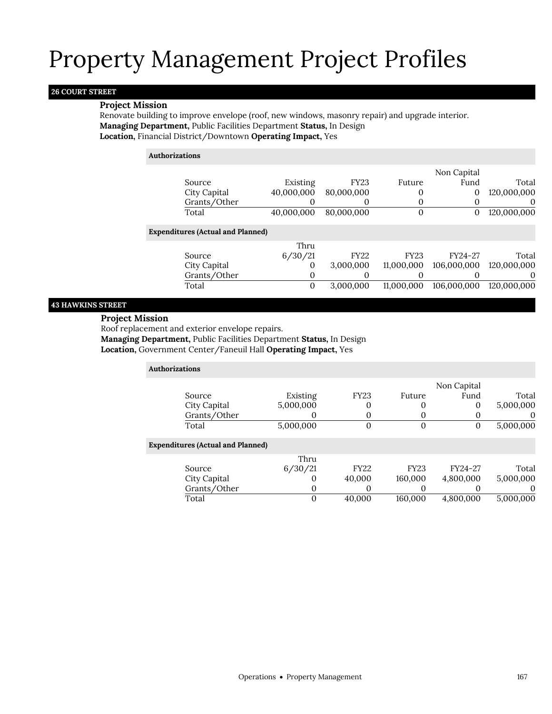## **26 COURT STREET**

### **Project Mission**

Renovate building to improve envelope (roof, new windows, masonry repair) and upgrade interior. **Managing Department,** Public Facilities Department **Status,** In Design **Location,** Financial District/Downtown **Operating Impact,** Yes

### **Authorizations**

|                                          |            |             |             | Non Capital |             |
|------------------------------------------|------------|-------------|-------------|-------------|-------------|
| Source                                   | Existing   | <b>FY23</b> | Future      | Fund        | Total       |
| City Capital                             | 40,000,000 | 80,000,000  | 0           | 0           | 120,000,000 |
| Grants/Other                             |            |             | 0           | 0           | $\Omega$    |
| Total                                    | 40,000,000 | 80,000,000  | $\mathbf 0$ | 0           | 120,000,000 |
| <b>Expenditures (Actual and Planned)</b> |            |             |             |             |             |
|                                          | Thru       |             |             |             |             |
| Source                                   | 6/30/21    | <b>FY22</b> | <b>FY23</b> | FY24-27     | Total       |
| City Capital                             | $\Omega$   | 3,000,000   | 11,000,000  | 106,000,000 | 120,000,000 |
| Grants/Other                             | $\Omega$   |             |             |             | $\theta$    |
| Total                                    | 0          | 3,000,000   | 11,000,000  | 106,000,000 | 120,000,000 |
|                                          |            |             |             |             |             |

## **43 HAWKINS STREET**

## **Project Mission**

Roof replacement and exterior envelope repairs.

**Managing Department,** Public Facilities Department **Status,** In Design

**Location,** Government Center/Faneuil Hall **Operating Impact,** Yes

| <b>Authorizations</b> |                                          |           |                |             |             |           |
|-----------------------|------------------------------------------|-----------|----------------|-------------|-------------|-----------|
|                       |                                          |           |                |             | Non Capital |           |
|                       | Source                                   | Existing  | <b>FY23</b>    | Future      | Fund        | Total     |
|                       | City Capital                             | 5,000,000 | 0              |             | 0           | 5,000,000 |
|                       | Grants/Other                             |           | O              |             |             | O         |
|                       | Total                                    | 5,000,000 | $\overline{0}$ | $\Omega$    | 0           | 5,000,000 |
|                       | <b>Expenditures (Actual and Planned)</b> |           |                |             |             |           |
|                       |                                          | Thru      |                |             |             |           |
|                       | Source                                   | 6/30/21   | <b>FY22</b>    | <b>FY23</b> | FY24-27     | Total     |
|                       | City Capital                             |           | 40,000         | 160,000     | 4,800,000   | 5,000,000 |
|                       | Grants/Other                             | O         | 0              |             |             | 0         |
|                       | Total                                    | 0         | 40.000         | 160.000     | 4.800.000   | 5,000,000 |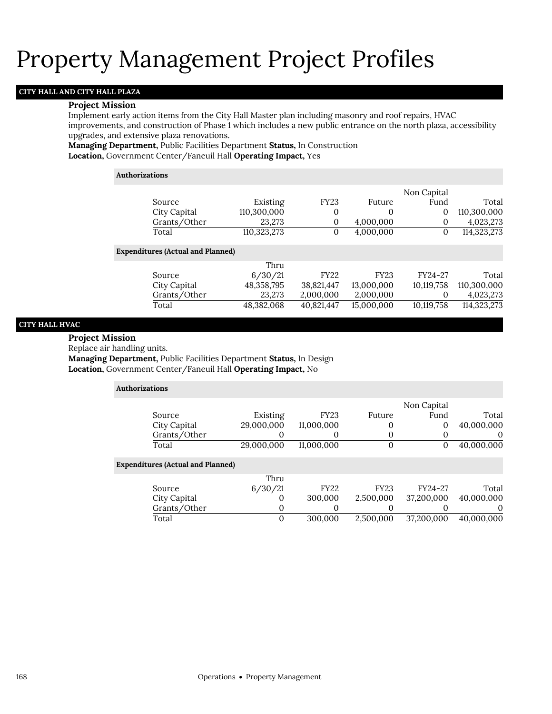## **CITY HALL AND CITY HALL PLAZA**

#### **Project Mission**

Implement early action items from the City Hall Master plan including masonry and roof repairs, HVAC improvements, and construction of Phase 1 which includes a new public entrance on the north plaza, accessibility upgrades, and extensive plaza renovations.

**Managing Department,** Public Facilities Department **Status,** In Construction **Location,** Government Center/Faneuil Hall **Operating Impact,** Yes

#### **Authorizations**

|                                |             |              |             | Non Capital |             |
|--------------------------------|-------------|--------------|-------------|-------------|-------------|
| Source                         | Existing    | <b>FY23</b>  | Future      | Fund        | Total       |
| City Capital                   | 110,300,000 | $\mathbf{0}$ | 0           | 0           | 110,300,000 |
| Grants/Other                   | 23,273      | 0            | 4,000,000   | $\mathbf 0$ | 4,023,273   |
| Total                          | 110,323,273 | $\Omega$     | 4,000,000   | $\Omega$    | 114,323,273 |
| enditures (Actual and Planned) |             |              |             |             |             |
|                                | Thru        |              |             |             |             |
| Source                         | 6/30/21     | <b>FY22</b>  | <b>FY23</b> | FY24-27     | Total       |
| City Capital                   | 48,358,795  | 38,821,447   | 13,000,000  | 10,119,758  | 110,300,000 |
| Grants/Other                   | 23,273      | 2,000,000    | 2,000,000   | $\Omega$    | 4,023,273   |
| Total                          | 48,382,068  | 40,821,447   | 15,000,000  | 10,119,758  | 114,323,273 |

#### **CITY HALL HVAC**

#### **Project Mission**

Replace air handling units.

**Expe** 

**Managing Department,** Public Facilities Department **Status,** In Design **Location,** Government Center/Faneuil Hall **Operating Impact,** No

| <b>Authorizations</b>                    |            |             |             |             |            |
|------------------------------------------|------------|-------------|-------------|-------------|------------|
|                                          |            |             |             | Non Capital |            |
| Source                                   | Existing   | <b>FY23</b> | Future      | Fund        | Total      |
| City Capital                             | 29,000,000 | 11,000,000  | $\Omega$    | 0           | 40,000,000 |
| Grants/Other                             | O          | 0           |             |             | $\theta$   |
| Total                                    | 29,000,000 | 11.000.000  | $\Omega$    | 0           | 40,000,000 |
| <b>Expenditures (Actual and Planned)</b> |            |             |             |             |            |
|                                          | Thru       |             |             |             |            |
| Source                                   | 6/30/21    | <b>FY22</b> | <b>FY23</b> | FY24-27     | Total      |
| City Capital                             | O          | 300,000     | 2,500,000   | 37,200,000  | 40,000,000 |
| Grants/Other                             | 0          | 0           |             |             | $\Omega$   |
| Total                                    | 0          | 300,000     | 2.500.000   | 37.200.000  | 40.000.000 |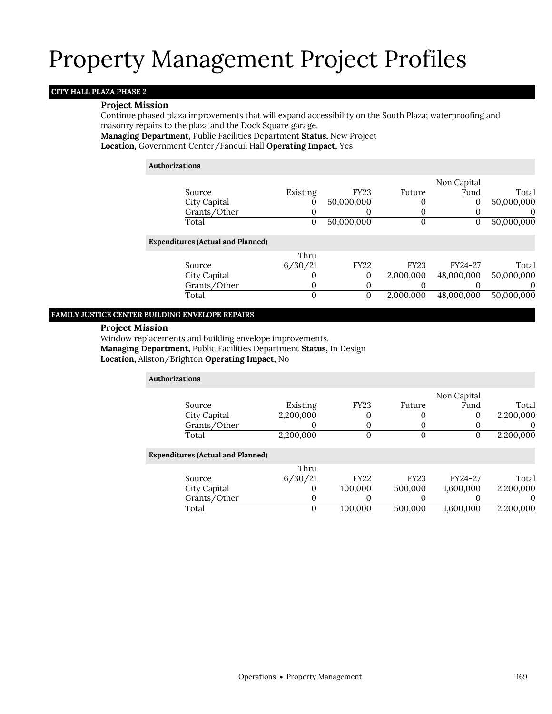## **CITY HALL PLAZA PHASE 2**

### **Project Mission**

Continue phased plaza improvements that will expand accessibility on the South Plaza; waterproofing and masonry repairs to the plaza and the Dock Square garage.

## **Managing Department,** Public Facilities Department **Status,** New Project

**Location,** Government Center/Faneuil Hall **Operating Impact,** Yes

#### **Authorizations**

|                                          |              |              |             | Non Capital |            |
|------------------------------------------|--------------|--------------|-------------|-------------|------------|
| Source                                   | Existing     | <b>FY23</b>  | Future      | Fund        | Total      |
| City Capital                             | 0            | 50,000,000   | 0           | 0           | 50,000,000 |
| Grants/Other                             | 0            | 0            | 0           | 0           | $\Omega$   |
| Total                                    | $\mathbf{0}$ | 50,000,000   | 0           | 0           | 50,000,000 |
| <b>Expenditures (Actual and Planned)</b> |              |              |             |             |            |
|                                          | Thru         |              |             |             |            |
| Source                                   | 6/30/21      | <b>FY22</b>  | <b>FY23</b> | FY24-27     | Total      |
| City Capital                             | 0            | $\Omega$     | 2,000,000   | 48,000,000  | 50,000,000 |
| Grants/Other                             | 0            | $\Omega$     |             |             |            |
| Total                                    | 0            | $\mathbf{0}$ | 2,000,000   | 48,000,000  | 50,000,000 |
|                                          |              |              |             |             |            |

## **FAMILY JUSTICE CENTER BUILDING ENVELOPE REPAIRS**

#### **Project Mission**

Window replacements and building envelope improvements. **Managing Department,** Public Facilities Department **Status,** In Design **Location,** Allston/Brighton **Operating Impact,** No

| <b>Authorizations</b>                    |           |             |             |             |           |
|------------------------------------------|-----------|-------------|-------------|-------------|-----------|
|                                          |           |             |             | Non Capital |           |
| Source                                   | Existing  | <b>FY23</b> | Future      | Fund        | Total     |
| City Capital                             | 2,200,000 | 0           | 0           | 0           | 2,200,000 |
| Grants/Other                             |           | O           | 0           | O           | $\theta$  |
| Total                                    | 2,200,000 | 0           | $\mathbf 0$ | 0           | 2,200,000 |
| <b>Expenditures (Actual and Planned)</b> |           |             |             |             |           |
|                                          | Thru      |             |             |             |           |
| Source                                   | 6/30/21   | <b>FY22</b> | <b>FY23</b> | FY24-27     | Total     |
| City Capital                             | O         | 100,000     | 500,000     | 1,600,000   | 2,200,000 |
| Grants/Other                             | 0         | 0           | $\Omega$    | O           | $\Omega$  |
| Total                                    | 0         | 100,000     | 500,000     | 1,600,000   | 2,200,000 |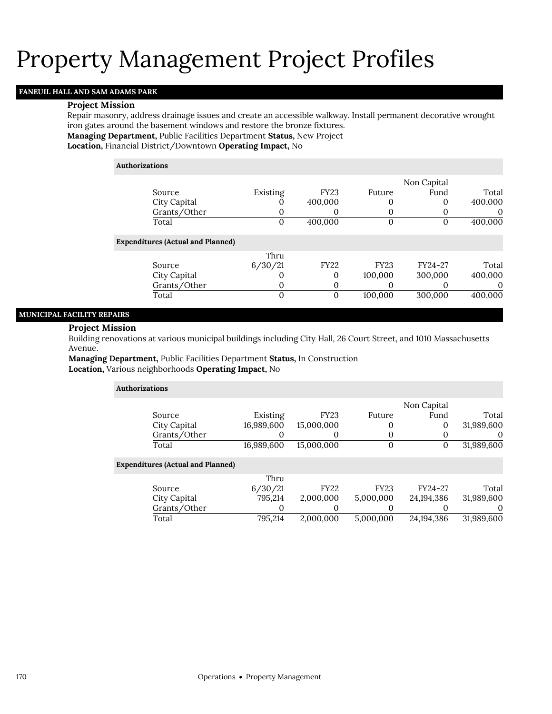## **FANEUIL HALL AND SAM ADAMS PARK**

#### **Project Mission**

Repair masonry, address drainage issues and create an accessible walkway. Install permanent decorative wrought iron gates around the basement windows and restore the bronze fixtures.

**Managing Department,** Public Facilities Department **Status,** New Project

**Location,** Financial District/Downtown **Operating Impact,** No

#### **Authorizations**

|                                          |          |              |                   | Non Capital       |          |
|------------------------------------------|----------|--------------|-------------------|-------------------|----------|
| Source                                   | Existing | <b>FY23</b>  | Future            | Fund              | Total    |
| City Capital                             |          | 400,000      | O                 | 0                 | 400,000  |
| Grants/Other                             |          | O            | 0                 |                   | $\theta$ |
| Total                                    | 0        | 400,000      | 0                 | O                 | 400,000  |
| <b>Expenditures (Actual and Planned)</b> |          |              |                   |                   |          |
|                                          | Thru     |              |                   |                   |          |
| Source                                   | 6/30/21  | <b>FY22</b>  | <b>FY23</b>       | FY24-27           | Total    |
| City Capital                             |          | 0            | 100,000           | 300,000           | 400,000  |
| Grants/Other                             | $\Omega$ | 0            | $\mathbf{\Omega}$ | $\mathbf{\Omega}$ | $\theta$ |
| Total                                    | $\Omega$ | $\mathbf{0}$ | 100,000           | 300,000           | 400,000  |
|                                          |          |              |                   |                   |          |

### **MUNICIPAL FACILITY REPAIRS**

#### **Project Mission**

Building renovations at various municipal buildings including City Hall, 26 Court Street, and 1010 Massachusetts Avenue.

**Managing Department,** Public Facilities Department **Status,** In Construction **Location,** Various neighborhoods **Operating Impact,** No

| <b>Authorizations</b>                    |            |             |             |              |            |
|------------------------------------------|------------|-------------|-------------|--------------|------------|
|                                          |            |             |             | Non Capital  |            |
| Source                                   | Existing   | <b>FY23</b> | Future      | Fund         | Total      |
| City Capital                             | 16,989,600 | 15,000,000  |             | $\mathbf 0$  | 31,989,600 |
| Grants/Other                             |            | 0           |             |              | $\Omega$   |
| Total                                    | 16,989,600 | 15,000,000  | 0           | 0            | 31,989,600 |
| <b>Expenditures (Actual and Planned)</b> |            |             |             |              |            |
|                                          | Thru       |             |             |              |            |
| Source                                   | 6/30/21    | <b>FY22</b> | <b>FY23</b> | FY24-27      | Total      |
| City Capital                             | 795,214    | 2,000,000   | 5,000,000   | 24, 194, 386 | 31,989,600 |
| Grants/Other                             | 0          | 0           |             |              | $\theta$   |
| Total                                    | 795.214    | 2.000.000   | 5.000.000   | 24.194.386   | 31,989,600 |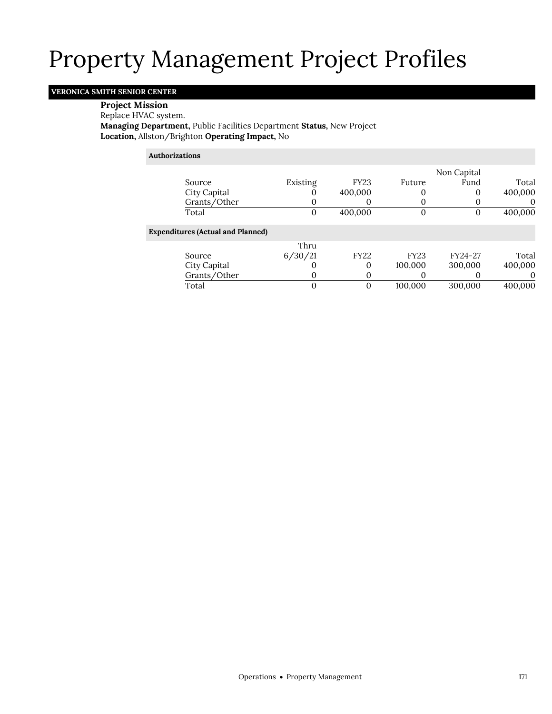## **VERONICA SMITH SENIOR CENTER**

## **Project Mission**

### Replace HVAC system.

**Managing Department,** Public Facilities Department **Status,** New Project **Location,** Allston/Brighton **Operating Impact,** No

### **Authorizations**

|                                          |          |             |             | Non Capital |          |
|------------------------------------------|----------|-------------|-------------|-------------|----------|
| Source                                   | Existing | <b>FY23</b> | Future      | Fund        | Total    |
| City Capital                             |          | 400,000     |             | 0           | 400,000  |
| Grants/Other                             |          | 0           |             | O           | $\Omega$ |
| Total                                    | 0        | 400,000     |             | $\Omega$    | 400,000  |
| <b>Expenditures (Actual and Planned)</b> |          |             |             |             |          |
|                                          | Thru     |             |             |             |          |
| Source                                   | 6/30/21  | <b>FY22</b> | <b>FY23</b> | FY24-27     | Total    |
| City Capital                             |          | 0           | 100,000     | 300,000     | 400,000  |
| Grants/Other                             |          | 0           |             |             | $\Omega$ |
| Total                                    |          | 0           | 100,000     | 300,000     | 400,000  |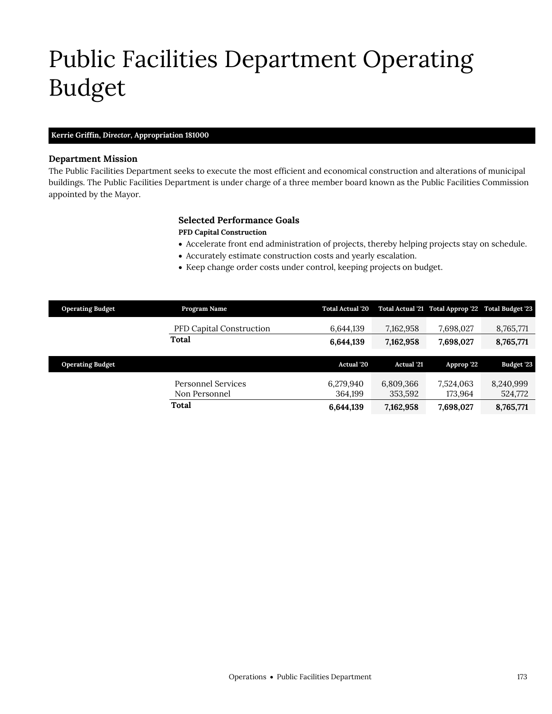# <span id="page-32-0"></span>Public Facilities Department Operating Budget

### **Kerrie Griffin,** *Director,* **Appropriation 181000**

### **Department Mission**

The Public Facilities Department seeks to execute the most efficient and economical construction and alterations of municipal buildings. The Public Facilities Department is under charge of a three member board known as the Public Facilities Commission appointed by the Mayor.

## **Selected Performance Goals**

## **PFD Capital Construction**

- Accelerate front end administration of projects, thereby helping projects stay on schedule.
- Accurately estimate construction costs and yearly escalation.
- Keep change order costs under control, keeping projects on budget.

| <b>Operating Budget</b> | Program Name                    | <b>Total Actual '20</b> |                   | Total Actual '21 Total Approp '22 Total Budget '23 |                   |
|-------------------------|---------------------------------|-------------------------|-------------------|----------------------------------------------------|-------------------|
|                         | <b>PFD Capital Construction</b> | 6,644,139               | 7,162,958         | 7,698,027                                          | 8,765,771         |
|                         | Total                           | 6,644,139               | 7,162,958         | 7,698,027                                          | 8,765,771         |
|                         |                                 |                         |                   |                                                    |                   |
|                         |                                 |                         | <b>Actual</b> '21 |                                                    |                   |
| <b>Operating Budget</b> |                                 | Actual '20              |                   | Approp '22                                         | <b>Budget '23</b> |
|                         | Personnel Services              | 6,279,940               | 6,809,366         | 7,524,063                                          | 8,240,999         |
|                         | Non Personnel                   | 364.199                 | 353,592           | 173.964                                            | 524,772           |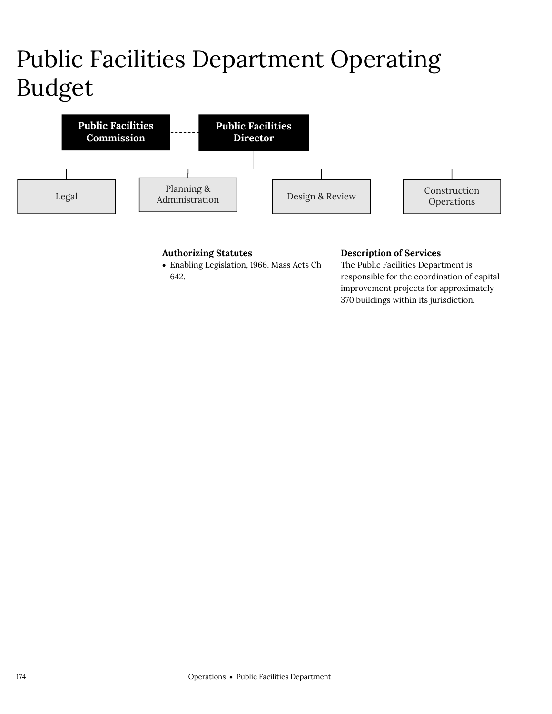# Public Facilities Department Operating Budget



## **Authorizing Statutes**

 Enabling Legislation, 1966. Mass Acts Ch 642.

## **Description of Services**

The Public Facilities Department is responsible for the coordination of capital improvement projects for approximately 370 buildings within its jurisdiction.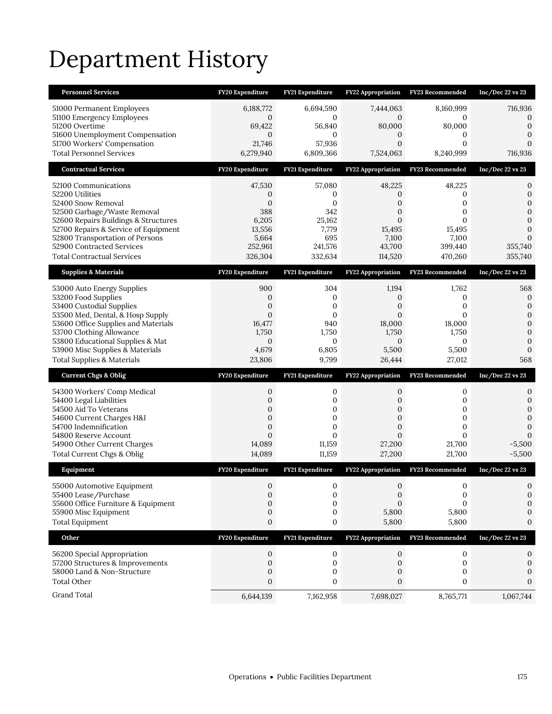# Department History

| <b>Personnel Services</b>                                                                                                                                                                                                                                                         | FY20 Expenditure                                                                               | <b>FY21 Expenditure</b>                                                            | <b>FY22 Appropriation</b>                                                                                  | <b>FY23 Recommended</b>                                             | Inc/Dec $22$ vs $23$                                                                                         |
|-----------------------------------------------------------------------------------------------------------------------------------------------------------------------------------------------------------------------------------------------------------------------------------|------------------------------------------------------------------------------------------------|------------------------------------------------------------------------------------|------------------------------------------------------------------------------------------------------------|---------------------------------------------------------------------|--------------------------------------------------------------------------------------------------------------|
| 51000 Permanent Employees<br>51100 Emergency Employees<br>51200 Overtime<br>51600 Unemployment Compensation<br>51700 Workers' Compensation<br><b>Total Personnel Services</b>                                                                                                     | 6,188,772<br>0<br>69,422<br>0<br>21,746<br>6,279,940                                           | 6,694,590<br>$\mathbf{0}$<br>56,840<br>$\mathbf{0}$<br>57,936<br>6,809,366         | 7,444,063<br>$\mathbf{0}$<br>80,000<br>0<br>$\mathbf{0}$<br>7,524,063                                      | 8,160,999<br>0<br>80,000<br>0<br>$\mathbf{0}$<br>8,240,999          | 716,936<br>0<br>$\mathbf 0$<br>$\Omega$<br>716,936                                                           |
| <b>Contractual Services</b>                                                                                                                                                                                                                                                       | FY20 Expenditure                                                                               | FY21 Expenditure                                                                   | <b>FY22 Appropriation</b>                                                                                  | FY23 Recommended                                                    | Inc/Dec 22 vs 23                                                                                             |
| 52100 Communications<br>52200 Utilities<br>52400 Snow Removal<br>52500 Garbage/Waste Removal<br>52600 Repairs Buildings & Structures<br>52700 Repairs & Service of Equipment<br>52800 Transportation of Persons<br>52900 Contracted Services<br><b>Total Contractual Services</b> | 47,530<br>0<br>$\mathbf{0}$<br>388<br>6,205<br>13,556<br>5,664<br>252,961<br>326,304           | 57,080<br>0<br>$\mathbf{0}$<br>342<br>25,162<br>7,779<br>695<br>241,576<br>332,634 | 48,225<br>0<br>0<br>0<br>$\overline{0}$<br>15,495<br>7,100<br>43,700<br>114,520                            | 48,225<br>0<br>0<br>0<br>0<br>15,495<br>7,100<br>399,440<br>470,260 | 0<br>$\mathbf{0}$<br>$\mathbf{0}$<br>$\mathbf{0}$<br>$\mathbf{0}$<br>$\mathbf{0}$<br>0<br>355,740<br>355,740 |
| <b>Supplies &amp; Materials</b>                                                                                                                                                                                                                                                   | FY20 Expenditure                                                                               | FY21 Expenditure                                                                   | FY22 Appropriation                                                                                         | FY23 Recommended                                                    | Inc/Dec 22 vs 23                                                                                             |
| 53000 Auto Energy Supplies<br>53200 Food Supplies<br>53400 Custodial Supplies<br>53500 Med, Dental, & Hosp Supply<br>53600 Office Supplies and Materials<br>53700 Clothing Allowance<br>53800 Educational Supplies & Mat                                                          | 900<br>$\mathbf 0$<br>$\boldsymbol{0}$<br>$\mathbf{0}$<br>16,477<br>1,750<br>0                 | 304<br>0<br>$\mathbf{0}$<br>$\mathbf{0}$<br>940<br>1,750<br>$\mathbf{0}$           | 1,194<br>$\mathbf 0$<br>$\boldsymbol{0}$<br>$\Omega$<br>18,000<br>1,750<br>$\mathbf{0}$                    | 1,762<br>0<br>0<br>$\Omega$<br>18,000<br>1,750<br>0                 | 568<br>$\mathbf 0$<br>$\mathbf{0}$<br>$\mathbf 0$<br>$\mathbf{0}$<br>$\mathbf{0}$<br>$\mathbf 0$             |
| 53900 Misc Supplies & Materials<br><b>Total Supplies &amp; Materials</b>                                                                                                                                                                                                          | 4,679<br>23,806                                                                                | 6,805<br>9,799                                                                     | 5,500<br>26,444                                                                                            | 5,500<br>27,012                                                     | $\mathbf{0}$<br>568                                                                                          |
| <b>Current Chgs &amp; Oblig</b>                                                                                                                                                                                                                                                   | FY20 Expenditure                                                                               | FY21 Expenditure                                                                   | FY22 Appropriation                                                                                         | FY23 Recommended                                                    | Inc/Dec 22 vs 23                                                                                             |
| 54300 Workers' Comp Medical<br>54400 Legal Liabilities<br>54500 Aid To Veterans<br>54600 Current Charges H&I<br>54700 Indemnification<br>54800 Reserve Account<br>54900 Other Current Charges<br>Total Current Chgs & Oblig                                                       | 0<br>$\mathbf{0}$<br>0<br>$\mathbf{0}$<br>$\overline{0}$<br>$\overline{0}$<br>14,089<br>14,089 | 0<br>$\mathbf 0$<br>0<br>$\mathbf 0$<br>$\mathbf{0}$<br>0<br>11,159<br>11,159      | $\mathbf{0}$<br>$\overline{0}$<br>0<br>$\mathbf 0$<br>$\overline{0}$<br>$\overline{0}$<br>27,200<br>27,200 | 0<br>0<br>0<br>0<br>0<br>$\Omega$<br>21,700<br>21,700               | 0<br>$\boldsymbol{0}$<br>$\mathbf{0}$<br>$\mathbf{0}$<br>$\mathbf{0}$<br>$\Omega$<br>$-5,500$<br>$-5,500$    |
| Equipment                                                                                                                                                                                                                                                                         | FY20 Expenditure                                                                               | FY21 Expenditure                                                                   | <b>FY22 Appropriation</b>                                                                                  | FY23 Recommended                                                    | Inc/Dec 22 vs 23                                                                                             |
| 55000 Automotive Equipment<br>55400 Lease/Purchase<br>55600 Office Furniture & Equipment<br>55900 Misc Equipment<br><b>Total Equipment</b>                                                                                                                                        | $\mathbf{0}$<br>0<br>0<br>$\boldsymbol{0}$<br>$\boldsymbol{0}$                                 | $\mathbf 0$<br>0<br>$\mathbf{0}$<br>0<br>0                                         | $\mathbf{0}$<br>$\mathbf 0$<br>$\Omega$<br>5,800<br>5,800                                                  | $\mathbf{0}$<br>0<br>$\Omega$<br>5,800<br>5,800                     | $\mathbf{0}$<br>0<br>0<br>0<br>0                                                                             |
| Other                                                                                                                                                                                                                                                                             | FY20 Expenditure                                                                               | FY21 Expenditure                                                                   | FY22 Appropriation                                                                                         | FY23 Recommended                                                    | Inc/Dec 22 vs 23                                                                                             |
| 56200 Special Appropriation<br>57200 Structures & Improvements<br>58000 Land & Non-Structure<br>Total Other<br>Grand Total                                                                                                                                                        | 0<br>$\mathbf{0}$<br>$\boldsymbol{0}$<br>0<br>6,644,139                                        | 0<br>$\mathbf 0$<br>0<br>0<br>7,162,958                                            | 0<br>$\mathbf{0}$<br>0<br>0<br>7,698,027                                                                   | 0<br>0<br>0<br>0<br>8,765,771                                       | 0<br>0<br>0<br>$\Omega$<br>1,067,744                                                                         |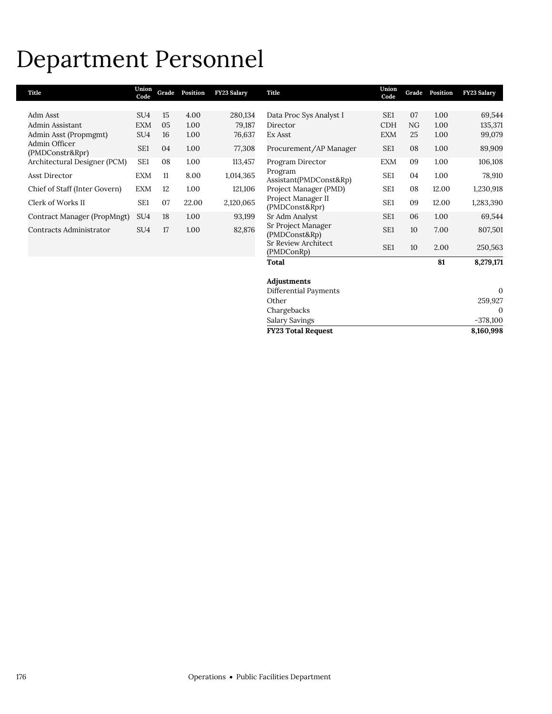## Department Personnel

| Title                            | Union<br>Code   | Grade | Position | FY23 Salary | Title                                | Union<br>Code   | Grade | Position | FY23 Salary  |
|----------------------------------|-----------------|-------|----------|-------------|--------------------------------------|-----------------|-------|----------|--------------|
|                                  |                 |       |          |             |                                      |                 |       |          |              |
| Adm Asst                         | SU <sub>4</sub> | 15    | 4.00     | 280,134     | Data Proc Sys Analyst I              | SE <sub>1</sub> | 07    | 1.00     | 69,544       |
| Admin Assistant                  | <b>EXM</b>      | 05    | 1.00     | 79,187      | Director                             | <b>CDH</b>      | NG.   | 1.00     | 135,371      |
| Admin Asst (Propmgmt)            | SU <sub>4</sub> | 16    | 1.00     | 76,637      | Ex Asst                              | <b>EXM</b>      | 25    | 1.00     | 99,079       |
| Admin Officer<br>(PMDConstr&Rpr) | SE <sub>1</sub> | 04    | 1.00     | 77,308      | Procurement/AP Manager               | SE1             | 08    | 1.00     | 89,909       |
| Architectural Designer (PCM)     | SE <sub>1</sub> | 08    | 1.00     | 113,457     | Program Director                     | <b>EXM</b>      | 09    | 1.00     | 106,108      |
| Asst Director                    | <b>EXM</b>      | 11    | 8.00     | 1,014,365   | Program<br>Assistant(PMDConst&Rp)    | SE <sub>1</sub> | 04    | 1.00     | 78,910       |
| Chief of Staff (Inter Govern)    | <b>EXM</b>      | 12    | 1.00     | 121,106     | Project Manager (PMD)                | SE1             | 08    | 12.00    | 1,230,918    |
| Clerk of Works II                | SE <sub>1</sub> | 07    | 22.00    | 2,120,065   | Project Manager II<br>(PMDConst&Rpr) | SE <sub>1</sub> | 09    | 12.00    | 1,283,390    |
| Contract Manager (PropMngt)      | SU <sub>4</sub> | 18    | 1.00     | 93,199      | Sr Adm Analyst                       | SE <sub>1</sub> | 06    | 1.00     | 69,544       |
| Contracts Administrator          | SU <sub>4</sub> | 17    | 1.00     | 82,876      | Sr Project Manager<br>(PMDConst&Rp)  | SE <sub>1</sub> | 10    | 7.00     | 807,501      |
|                                  |                 |       |          |             | Sr Review Architect<br>(PMDConRp)    | SE <sub>1</sub> | 10    | 2.00     | 250,563      |
|                                  |                 |       |          |             | Total                                |                 |       | 81       | 8,279,171    |
|                                  |                 |       |          |             | Adjustments                          |                 |       |          |              |
|                                  |                 |       |          |             | Differential Payments                |                 |       |          | $\mathbf{0}$ |
|                                  |                 |       |          |             | Other                                |                 |       |          | 259,927      |

Salary Savings

Chargebacks 0<br>Salary Savings 2378,100

**FY23 Total Request 8,160,998**